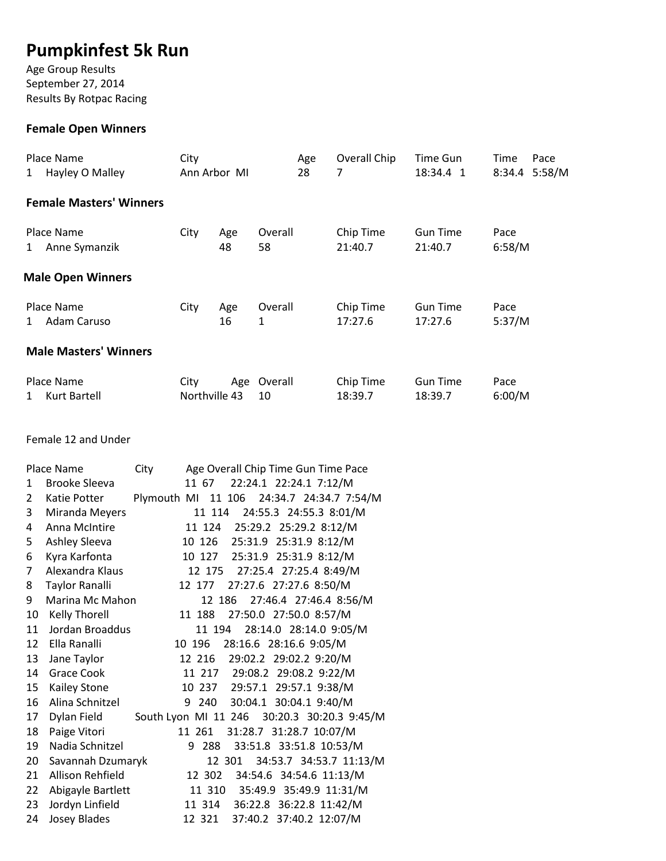# **Pumpkinfest 5k Run**

Age Group Results September 27, 2014 Results By Rotpac Racing

# **Female Open Winners**

| Place Name<br>Hayley O Malley<br>$\mathbf{1}$ | City<br>Ann Arbor MI  |           |               | Age<br>28 | Overall Chip<br>7    | Time Gun<br>18:34.4 1      | Time<br>Pace<br>8:34.4 5:58/M |
|-----------------------------------------------|-----------------------|-----------|---------------|-----------|----------------------|----------------------------|-------------------------------|
| <b>Female Masters' Winners</b>                |                       |           |               |           |                      |                            |                               |
| Place Name<br>Anne Symanzik<br>1              | City                  | Age<br>48 | Overall<br>58 |           | Chip Time<br>21:40.7 | <b>Gun Time</b><br>21:40.7 | Pace<br>6:58/M                |
| <b>Male Open Winners</b>                      |                       |           |               |           |                      |                            |                               |
| Place Name<br>Adam Caruso<br>1                | City                  | Age<br>16 | Overall<br>1  |           | Chip Time<br>17:27.6 | <b>Gun Time</b><br>17:27.6 | Pace<br>5:37/M                |
| <b>Male Masters' Winners</b>                  |                       |           |               |           |                      |                            |                               |
| Place Name<br>Kurt Bartell<br>1               | City<br>Northville 43 | Age       | Overall<br>10 |           | Chip Time<br>18:39.7 | <b>Gun Time</b><br>18:39.7 | Pace<br>6:00/M                |

Female 12 and Under

|                | Place Name           | City        |        | Age Overall Chip Time Gun Time Pace         |
|----------------|----------------------|-------------|--------|---------------------------------------------|
| 1              | <b>Brooke Sleeva</b> |             | 11 67  | 22:24.1 22:24.1 7:12/M                      |
| $\overline{2}$ | Katie Potter         | Plymouth MI |        | 11 106 24:34.7 24:34.7 7:54/M               |
| 3              | Miranda Meyers       |             | 11 114 | 24:55.3 24:55.3 8:01/M                      |
| 4              | Anna McIntire        |             |        | 11 124 25:29.2 25:29.2 8:12/M               |
| 5              | Ashley Sleeva        |             | 10 126 | 25:31.9 25:31.9 8:12/M                      |
| 6              | Kyra Karfonta        |             |        | 10 127 25:31.9 25:31.9 8:12/M               |
| $\overline{7}$ | Alexandra Klaus      |             | 12 175 | 27:25.4 27:25.4 8:49/M                      |
| 8              | Taylor Ranalli       |             | 12 177 | 27:27.6 27:27.6 8:50/M                      |
| 9              | Marina Mc Mahon      |             |        | 27:46.4 27:46.4 8:56/M<br>12 186            |
| 10             | <b>Kelly Thorell</b> |             | 11 188 | 27:50.0 27:50.0 8:57/M                      |
| 11             | Jordan Broaddus      |             | 11 194 | 28:14.0 28:14.0 9:05/M                      |
| 12             | Ella Ranalli         |             | 10 196 | 28:16.6 28:16.6 9:05/M                      |
| 13             | Jane Taylor          |             | 12 216 | 29:02.2 29:02.2 9:20/M                      |
| 14             | <b>Grace Cook</b>    |             |        | 11 217 29:08.2 29:08.2 9:22/M               |
| 15             | <b>Kailey Stone</b>  |             |        | 10 237 29:57.1 29:57.1 9:38/M               |
| 16             | Alina Schnitzel      |             | 9 240  | 30:04.1 30:04.1 9:40/M                      |
| 17             | Dylan Field          |             |        | South Lyon MI 11 246 30:20.3 30:20.3 9:45/M |
| 18             | Paige Vitori         |             | 11 261 | 31:28.7 31:28.7 10:07/M                     |
| 19             | Nadia Schnitzel      |             | 9 288  | 33:51.8 33:51.8 10:53/M                     |
| 20             | Savannah Dzumaryk    |             |        | 34:53.7 34:53.7 11:13/M<br>12 301           |
| 21             | Allison Rehfield     |             | 12 302 | 34:54.6 34:54.6 11:13/M                     |
| 22             | Abigayle Bartlett    |             |        | 11 310 35:49.9 35:49.9 11:31/M              |
| 23             | Jordyn Linfield      |             | 11 314 | 36:22.8 36:22.8 11:42/M                     |
| 24             | <b>Josey Blades</b>  |             | 12 321 | 37:40.2 37:40.2 12:07/M                     |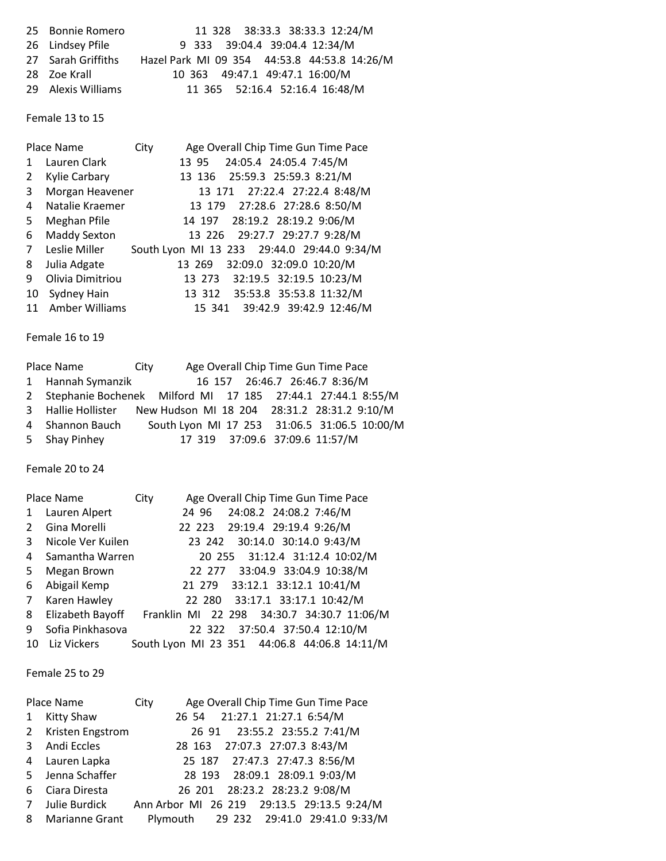| 25 Bonnie Romero   | 11 328 38:33.3 38:33.3 12:24/M               |
|--------------------|----------------------------------------------|
| 26 Lindsey Pfile   | 9 333 39:04.4 39:04.4 12:34/M                |
| 27 Sarah Griffiths | Hazel Park MI 09 354 44:53.8 44:53.8 14:26/M |
| 28 Zoe Krall       | 10 363 49:47.1 49:47.1 16:00/M               |
| 29 Alexis Williams | 11 365 52:16.4 52:16.4 16:48/M               |

Female 13 to 15

|              | Place Name          | City | Age Overall Chip Time Gun Time Pace         |
|--------------|---------------------|------|---------------------------------------------|
| $\mathbf{1}$ | Lauren Clark        |      | 24:05.4 24:05.4 7:45/M<br>13 95             |
| 2            | Kylie Carbary       |      | 13 136 25:59.3 25:59.3 8:21/M               |
| 3            | Morgan Heavener     |      | 13 171 27:22.4 27:22.4 8:48/M               |
| 4            | Natalie Kraemer     |      | 13 179 27:28.6 27:28.6 8:50/M               |
| 5.           | Meghan Pfile        |      | 14 197 28:19.2 28:19.2 9:06/M               |
| 6            | <b>Maddy Sexton</b> |      | 13 226 29:27.7 29:27.7 9:28/M               |
| 7            | Leslie Miller       |      | South Lyon MI 13 233 29:44.0 29:44.0 9:34/M |
| 8            | Julia Adgate        |      | 32:09.0 32:09.0 10:20/M<br>13 269           |
| 9            | Olivia Dimitriou    |      | 13 273 32:19.5 32:19.5 10:23/M              |
| 10           | Sydney Hain         |      | 13 312 35:53.8 35:53.8 11:32/M              |
|              | 11 Amber Williams   |      | 15 341 39:42.9 39:42.9 12:46/M              |

Female 16 to 19

| Place Name                                                     | City |                                              |  | Age Overall Chip Time Gun Time Pace |  |
|----------------------------------------------------------------|------|----------------------------------------------|--|-------------------------------------|--|
| 1 Hannah Symanzik                                              |      |                                              |  | 16 157 26:46.7 26:46.7 8:36/M       |  |
| 2 Stephanie Bochenek Milford MI 17 185 27:44.1 27:44.1 8:55/M  |      |                                              |  |                                     |  |
| 3 Hallie Hollister New Hudson MI 18 204 28:31.2 28:31.2 9:10/M |      |                                              |  |                                     |  |
| 4 Shannon Bauch                                                |      | South Lyon MI 17 253 31:06.5 31:06.5 10:00/M |  |                                     |  |
| 5 Shay Pinhey                                                  |      |                                              |  | 17 319 37:09.6 37:09.6 11:57/M      |  |

Female 20 to 24

|              | Place Name        | City |  | Age Overall Chip Time Gun Time Pace          |  |
|--------------|-------------------|------|--|----------------------------------------------|--|
| $\mathbf{1}$ | Lauren Alpert     |      |  | 24 96 24:08.2 24:08.2 7:46/M                 |  |
| 2            | Gina Morelli      |      |  | 22 223 29:19.4 29:19.4 9:26/M                |  |
| 3            | Nicole Ver Kuilen |      |  | 23 242 30:14.0 30:14.0 9:43/M                |  |
| 4            | Samantha Warren   |      |  | 20 255 31:12.4 31:12.4 10:02/M               |  |
| 5            | Megan Brown       |      |  | 22 277 33:04.9 33:04.9 10:38/M               |  |
| 6            | Abigail Kemp      |      |  | 21 279 33:12.1 33:12.1 10:41/M               |  |
| $7^{\circ}$  | Karen Hawley      |      |  | 22 280 33:17.1 33:17.1 10:42/M               |  |
| 8            | Elizabeth Bayoff  |      |  | Franklin MI 22 298 34:30.7 34:30.7 11:06/M   |  |
| 9            | Sofia Pinkhasova  |      |  | 22 322 37:50.4 37:50.4 12:10/M               |  |
| 10           | Liz Vickers       |      |  | South Lyon MI 23 351 44:06.8 44:06.8 14:11/M |  |

Female 25 to 29

|              | Place Name         | City | Age Overall Chip Time Gun Time Pace        |  |
|--------------|--------------------|------|--------------------------------------------|--|
| $\mathbf{1}$ | <b>Kitty Shaw</b>  |      | 26 54 21:27.1 21:27.1 6:54/M               |  |
|              | 2 Kristen Engstrom |      | 26 91 23:55.2 23:55.2 7:41/M               |  |
|              | 3 Andi Eccles      |      | 28 163 27:07.3 27:07.3 8:43/M              |  |
|              | 4 Lauren Lapka     |      | 25 187 27:47.3 27:47.3 8:56/M              |  |
|              | 5 Jenna Schaffer   |      | 28 193 28:09.1 28:09.1 9:03/M              |  |
| 6            | Ciara Diresta      |      | 26 201 28:23.2 28:23.2 9:08/M              |  |
| $7^{\circ}$  | Julie Burdick      |      | Ann Arbor MI 26 219 29:13.5 29:13.5 9:24/M |  |
|              | 8 Marianne Grant   |      | Plymouth 29 232 29:41.0 29:41.0 9:33/M     |  |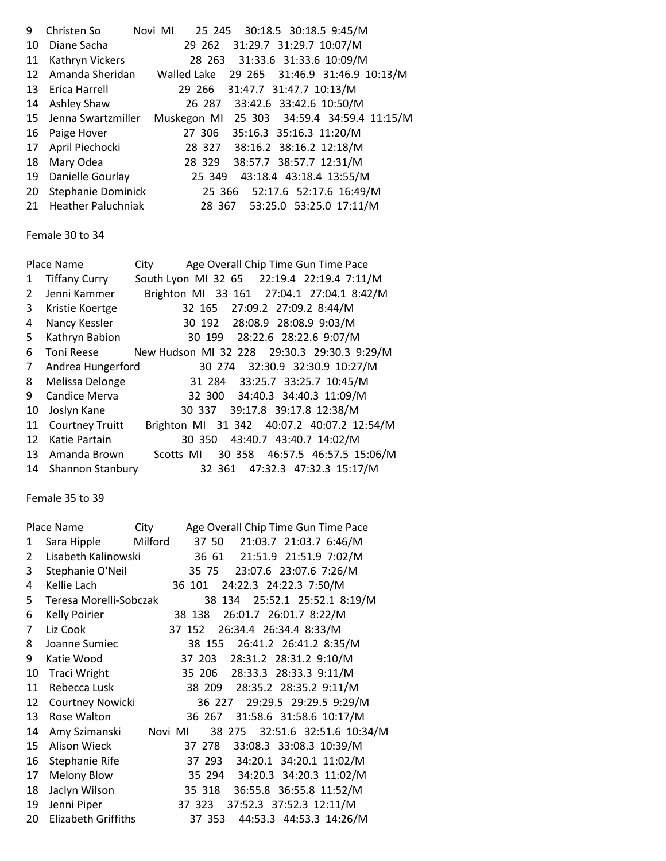| 9  | Christen So                                                | Novi MI |                                |  | 25 245 30:18.5 30:18.5 9:45/M              |  |
|----|------------------------------------------------------------|---------|--------------------------------|--|--------------------------------------------|--|
| 10 | Diane Sacha                                                |         |                                |  | 29 262 31:29.7 31:29.7 10:07/M             |  |
| 11 | Kathryn Vickers                                            |         |                                |  | 28 263 31:33.6 31:33.6 10:09/M             |  |
| 12 | Amanda Sheridan Walled Lake 29 265 31:46.9 31:46.9 10:13/M |         |                                |  |                                            |  |
|    | 13 Erica Harrell                                           |         | 29 266 31:47.7 31:47.7 10:13/M |  |                                            |  |
| 14 | Ashley Shaw                                                |         |                                |  | 26 287 33:42.6 33:42.6 10:50/M             |  |
| 15 | Jenna Swartzmiller                                         |         |                                |  | Muskegon MI 25 303 34:59.4 34:59.4 11:15/M |  |
| 16 | Paige Hover                                                |         |                                |  | 27 306 35:16.3 35:16.3 11:20/M             |  |
|    | 17 April Piechocki                                         |         |                                |  | 28 327 38:16.2 38:16.2 12:18/M             |  |
| 18 | Mary Odea                                                  |         | 28 329                         |  | 38:57.7 38:57.7 12:31/M                    |  |
| 19 | Danielle Gourlay                                           |         | 25 349                         |  | 43:18.4 43:18.4 13:55/M                    |  |
| 20 | Stephanie Dominick                                         |         |                                |  | 25 366 52:17.6 52:17.6 16:49/M             |  |
|    | 21 Heather Paluchniak                                      |         |                                |  | 28 367 53:25.0 53:25.0 17:11/M             |  |

Female 30 to 34

|                | Place Name              | City      |  | Age Overall Chip Time Gun Time Pace         |  |
|----------------|-------------------------|-----------|--|---------------------------------------------|--|
| 1              | <b>Tiffany Curry</b>    |           |  | South Lyon MI 32 65 22:19.4 22:19.4 7:11/M  |  |
| $\overline{2}$ | Jenni Kammer            |           |  | Brighton MI 33 161 27:04.1 27:04.1 8:42/M   |  |
| 3              | Kristie Koertge         |           |  | 32 165 27:09.2 27:09.2 8:44/M               |  |
| 4              | Nancy Kessler           |           |  | 30 192 28:08.9 28:08.9 9:03/M               |  |
| 5              | Kathryn Babion          |           |  | 30 199 28:22.6 28:22.6 9:07/M               |  |
| 6              | Toni Reese              |           |  | New Hudson MI 32 228 29:30.3 29:30.3 9:29/M |  |
| $\overline{7}$ | Andrea Hungerford       |           |  | 30 274 32:30.9 32:30.9 10:27/M              |  |
| 8              | Melissa Delonge         |           |  | 31 284 33:25.7 33:25.7 10:45/M              |  |
| 9              | Candice Merva           |           |  | 32 300 34:40.3 34:40.3 11:09/M              |  |
| 10             | Joslyn Kane             |           |  | 30 337 39:17.8 39:17.8 12:38/M              |  |
| 11             | <b>Courtney Truitt</b>  |           |  | Brighton MI 31 342 40:07.2 40:07.2 12:54/M  |  |
| 12             | Katie Partain           |           |  | 30 350 43:40.7 43:40.7 14:02/M              |  |
| 13             | Amanda Brown            | Scotts MI |  | 30 358 46:57.5 46:57.5 15:06/M              |  |
| 14             | <b>Shannon Stanbury</b> |           |  | 32 361 47:32.3 47:32.3 15:17/M              |  |

Female 35 to 39

|    | Place Name                 | City    |        |                        | Age Overall Chip Time Gun Time Pace |  |
|----|----------------------------|---------|--------|------------------------|-------------------------------------|--|
| 1  | Sara Hipple                | Milford | 37 50  |                        | 21:03.7 21:03.7 6:46/M              |  |
| 2  | Lisabeth Kalinowski        |         | 36 61  |                        | 21:51.9 21:51.9 7:02/M              |  |
| 3  | Stephanie O'Neil           |         | 35 75  |                        | 23:07.6 23:07.6 7:26/M              |  |
| 4  | Kellie Lach                |         | 36 101 | 24:22.3 24:22.3 7:50/M |                                     |  |
| 5  | Teresa Morelli-Sobczak     |         |        |                        | 38 134 25:52.1 25:52.1 8:19/M       |  |
| 6  | <b>Kelly Poirier</b>       |         | 38 138 | 26:01.7 26:01.7 8:22/M |                                     |  |
| 7  | Liz Cook                   |         | 37 152 | 26:34.4 26:34.4 8:33/M |                                     |  |
| 8  | Joanne Sumiec              |         | 38 155 |                        | 26:41.2 26:41.2 8:35/M              |  |
| 9  | Katie Wood                 |         | 37 203 |                        | 28:31.2 28:31.2 9:10/M              |  |
| 10 | <b>Traci Wright</b>        |         | 35 206 |                        | 28:33.3 28:33.3 9:11/M              |  |
| 11 | Rebecca Lusk               |         |        |                        | 38 209 28:35.2 28:35.2 9:11/M       |  |
| 12 | Courtney Nowicki           |         | 36 227 |                        | 29:29.5 29:29.5 9:29/M              |  |
| 13 | Rose Walton                |         | 36 267 |                        | 31:58.6 31:58.6 10:17/M             |  |
| 14 | Amy Szimanski              | Novi MI |        |                        | 38 275 32:51.6 32:51.6 10:34/M      |  |
| 15 | <b>Alison Wieck</b>        |         | 37 278 |                        | 33:08.3 33:08.3 10:39/M             |  |
| 16 | Stephanie Rife             |         |        |                        | 37 293 34:20.1 34:20.1 11:02/M      |  |
| 17 | <b>Melony Blow</b>         |         |        |                        | 35 294 34:20.3 34:20.3 11:02/M      |  |
| 18 | Jaclyn Wilson              |         |        |                        | 35 318 36:55.8 36:55.8 11:52/M      |  |
| 19 | Jenni Piper                |         | 37 323 |                        | 37:52.3 37:52.3 12:11/M             |  |
| 20 | <b>Elizabeth Griffiths</b> |         | 37 353 |                        | 44:53.3 44:53.3 14:26/M             |  |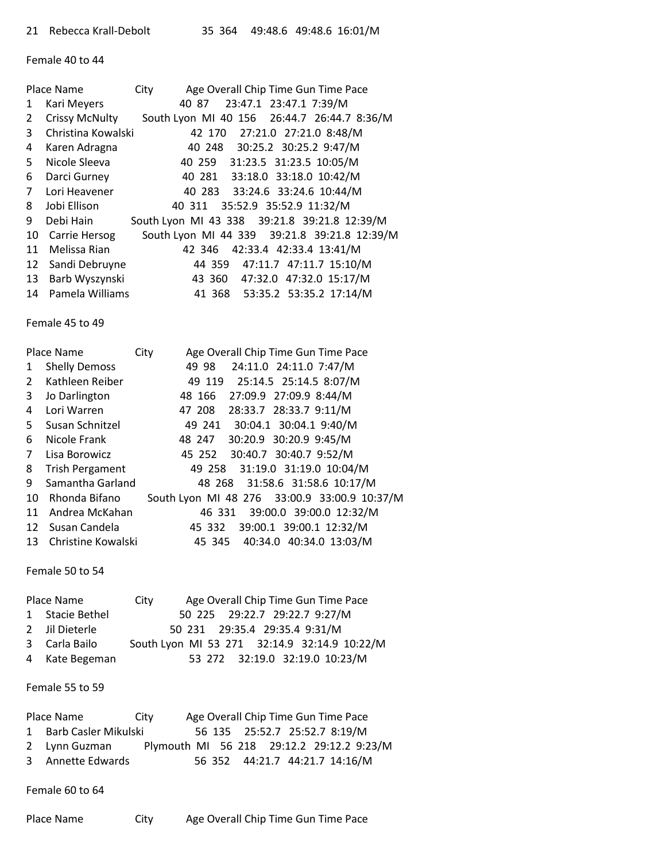Female 40 to 44

|              | Place Name            | City                                         |        |                              |  | Age Overall Chip Time Gun Time Pace |                                              |
|--------------|-----------------------|----------------------------------------------|--------|------------------------------|--|-------------------------------------|----------------------------------------------|
| 1            | Kari Meyers           |                                              |        | 40 87 23:47.1 23:47.1 7:39/M |  |                                     |                                              |
| $\mathbf{2}$ | <b>Crissy McNulty</b> |                                              |        |                              |  |                                     | South Lyon MI 40 156 26:44.7 26:44.7 8:36/M  |
| $\mathbf{3}$ | Christina Kowalski    |                                              |        |                              |  | 42 170 27:21.0 27:21.0 8:48/M       |                                              |
| 4            | Karen Adragna         |                                              |        |                              |  | 40 248 30:25.2 30:25.2 9:47/M       |                                              |
| 5.           | Nicole Sleeva         |                                              |        |                              |  | 40 259 31:23.5 31:23.5 10:05/M      |                                              |
| 6            | Darci Gurney          |                                              |        |                              |  | 40 281 33:18.0 33:18.0 10:42/M      |                                              |
| $7^{\circ}$  | Lori Heavener         |                                              |        |                              |  | 40 283 33:24.6 33:24.6 10:44/M      |                                              |
| 8            | Jobi Ellison          |                                              | 40 311 |                              |  | 35:52.9 35:52.9 11:32/M             |                                              |
| 9            | Debi Hain             | South Lyon MI 43 338 39:21.8 39:21.8 12:39/M |        |                              |  |                                     |                                              |
| 10           | Carrie Hersog         |                                              |        |                              |  |                                     | South Lyon MI 44 339 39:21.8 39:21.8 12:39/M |
| 11           | Melissa Rian          |                                              |        |                              |  | 42 346 42:33.4 42:33.4 13:41/M      |                                              |
| 12           | Sandi Debruyne        |                                              |        |                              |  | 44 359 47:11.7 47:11.7 15:10/M      |                                              |
| 13           | Barb Wyszynski        |                                              |        |                              |  | 43 360 47:32.0 47:32.0 15:17/M      |                                              |
| 14           | Pamela Williams       |                                              |        |                              |  | 41 368 53:35.2 53:35.2 17:14/M      |                                              |

Female 45 to 49

|                   | Place Name             | Age Overall Chip Time Gun Time Pace<br>City  |
|-------------------|------------------------|----------------------------------------------|
| $\mathbf{1}$      | <b>Shelly Demoss</b>   | 24:11.0 24:11.0 7:47/M<br>49 98              |
| $2^{\circ}$       | Kathleen Reiber        | 49 119 25:14.5 25:14.5 8:07/M                |
| 3                 | Jo Darlington          | 27:09.9 27:09.9 8:44/M<br>48 166             |
| 4                 | Lori Warren            | 28:33.7 28:33.7 9:11/M<br>47 208             |
| 5.                | Susan Schnitzel        | 49 241 30:04.1 30:04.1 9:40/M                |
| 6                 | Nicole Frank           | 30:20.9 30:20.9 9:45/M<br>48 247             |
| $7^{\circ}$       | Lisa Borowicz          | 45 252 30:40.7 30:40.7 9:52/M                |
| 8                 | <b>Trish Pergament</b> | 49 258 31:19.0 31:19.0 10:04/M               |
| 9                 | Samantha Garland       | 48 268 31:58.6 31:58.6 10:17/M               |
| 10                | Rhonda Bifano          | South Lyon MI 48 276 33:00.9 33:00.9 10:37/M |
| 11                | Andrea McKahan         | 46 331 39:00.0 39:00.0 12:32/M               |
| $12 \overline{ }$ | Susan Candela          | 39:00.1 39:00.1 12:32/M<br>45 332            |
| 13                | Christine Kowalski     | 45 345 40:34.0 40:34.0 13:03/M               |
|                   |                        |                                              |

Female 50 to 54

| Place Name |                 | Age Overall Chip Time Gun Time Pace<br>City |                                              |  |  |  |  |
|------------|-----------------|---------------------------------------------|----------------------------------------------|--|--|--|--|
|            | 1 Stacie Bethel |                                             | 50 225 29:22.7 29:22.7 9:27/M                |  |  |  |  |
|            | 2 Jil Dieterle  |                                             | 50 231 29:35.4 29:35.4 9:31/M                |  |  |  |  |
|            | 3 Carla Bailo   |                                             | South Lyon MI 53 271 32:14.9 32:14.9 10:22/M |  |  |  |  |
|            | 4 Kate Begeman  |                                             | 53 272 32:19.0 32:19.0 10:23/M               |  |  |  |  |

## Female 55 to 59

| Place Name             | City                                      |  | Age Overall Chip Time Gun Time Pace |  |  |  |
|------------------------|-------------------------------------------|--|-------------------------------------|--|--|--|
| 1 Barb Casler Mikulski |                                           |  | 56 135 25:52.7 25:52.7 8:19/M       |  |  |  |
| 2 Lynn Guzman          | Plymouth MI 56 218 29:12.2 29:12.2 9:23/M |  |                                     |  |  |  |
| 3 Annette Edwards      |                                           |  | 56 352 44:21.7 44:21.7 14:16/M      |  |  |  |

Female 60 to 64

| Place Name | City | Age Overall Chip Time Gun Time Pace |
|------------|------|-------------------------------------|
|            |      |                                     |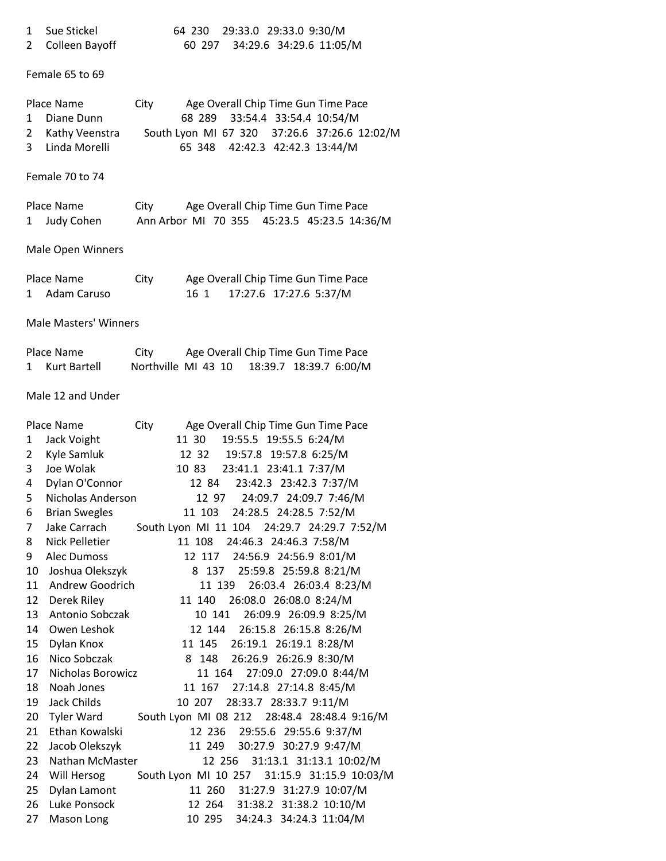| 1 Sue Stickel    | 64 230 29:33.0 29:33.0 9:30/M |                              |  |
|------------------|-------------------------------|------------------------------|--|
| 2 Colleen Bayoff |                               | 60 297 34:29.6 34:29.6 11:05 |  |

2 Colleen Bayoff 60 297 34:29.6 34:29.6 11:05/M

## Female 65 to 69

| Place Name |                  | City |                                | Age Overall Chip Time Gun Time Pace          |
|------------|------------------|------|--------------------------------|----------------------------------------------|
|            | 1 Diane Dunn     |      |                                | 68 289 33:54.4 33:54.4 10:54/M               |
|            | 2 Kathy Veenstra |      |                                | South Lyon MI 67 320 37:26.6 37:26.6 12:02/M |
|            | 3 Linda Morelli  |      | 65 348 42:42.3 42:42.3 13:44/M |                                              |

## Female 70 to 74

| Place Name   | City                                        | Age Overall Chip Time Gun Time Pace |  |  |
|--------------|---------------------------------------------|-------------------------------------|--|--|
| 1 Judy Cohen | Ann Arbor MI 70 355 45:23.5 45:23.5 14:36/M |                                     |  |  |

# Male Open Winners

| Place Name |               | City |     |                        | Age Overall Chip Time Gun Time Pace |
|------------|---------------|------|-----|------------------------|-------------------------------------|
|            | 1 Adam Caruso |      | 161 | 17:27.6 17:27.6 5:37/M |                                     |

## Male Masters' Winners

| Place Name     | City                | Age Overall Chip Time Gun Time Pace |                        |  |
|----------------|---------------------|-------------------------------------|------------------------|--|
| 1 Kurt Bartell | Northville MI 43 10 |                                     | 18:39.7 18:39.7 6:00/M |  |

# Male 12 and Under

|    | Place Name            | City |        | Age Overall Chip Time Gun Time Pace          |
|----|-----------------------|------|--------|----------------------------------------------|
| 1  | Jack Voight           |      | 11 30  | 19:55.5 19:55.5 6:24/M                       |
| 2  | Kyle Samluk           |      |        | 12 32 19:57.8 19:57.8 6:25/M                 |
| 3  | Joe Wolak             |      |        | 10 83 23:41.1 23:41.1 7:37/M                 |
| 4  | Dylan O'Connor        |      | 12 84  | 23:42.3 23:42.3 7:37/M                       |
| 5  | Nicholas Anderson     |      | 12 97  | 24:09.7 24:09.7 7:46/M                       |
| 6  | <b>Brian Swegles</b>  |      | 11 103 | 24:28.5 24:28.5 7:52/M                       |
| 7  | Jake Carrach          |      |        | South Lyon MI 11 104 24:29.7 24:29.7 7:52/M  |
| 8  | <b>Nick Pelletier</b> |      | 11 108 | 24:46.3 24:46.3 7:58/M                       |
| 9  | <b>Alec Dumoss</b>    |      |        | 12 117 24:56.9 24:56.9 8:01/M                |
| 10 | Joshua Olekszyk       |      |        | 8 137 25:59.8 25:59.8 8:21/M                 |
| 11 | Andrew Goodrich       |      | 11 139 | 26:03.4 26:03.4 8:23/M                       |
| 12 | Derek Riley           |      | 11 140 | 26:08.0 26:08.0 8:24/M                       |
| 13 | Antonio Sobczak       |      | 10 141 | 26:09.9 26:09.9 8:25/M                       |
| 14 | Owen Leshok           |      | 12 144 | 26:15.8 26:15.8 8:26/M                       |
| 15 | Dylan Knox            |      |        | 11 145 26:19.1 26:19.1 8:28/M                |
| 16 | Nico Sobczak          |      | 8 148  | 26:26.9 26:26.9 8:30/M                       |
| 17 | Nicholas Borowicz     |      | 11 164 | 27:09.0 27:09.0 8:44/M                       |
| 18 | Noah Jones            |      |        | 11 167 27:14.8 27:14.8 8:45/M                |
| 19 | Jack Childs           |      |        | 10 207 28:33.7 28:33.7 9:11/M                |
| 20 | Tyler Ward            |      |        | South Lyon MI 08 212 28:48.4 28:48.4 9:16/M  |
| 21 | Ethan Kowalski        |      | 12 236 | 29:55.6 29:55.6 9:37/M                       |
| 22 | Jacob Olekszyk        |      | 11 249 | 30:27.9 30:27.9 9:47/M                       |
| 23 | Nathan McMaster       |      |        | 12 256 31:13.1 31:13.1 10:02/M               |
| 24 | Will Hersog           |      |        | South Lyon MI 10 257 31:15.9 31:15.9 10:03/M |
| 25 | Dylan Lamont          |      |        | 11 260 31:27.9 31:27.9 10:07/M               |
| 26 | Luke Ponsock          |      |        | 12 264 31:38.2 31:38.2 10:10/M               |
| 27 | Mason Long            |      |        | 10 295 34:24.3 34:24.3 11:04/M               |
|    |                       |      |        |                                              |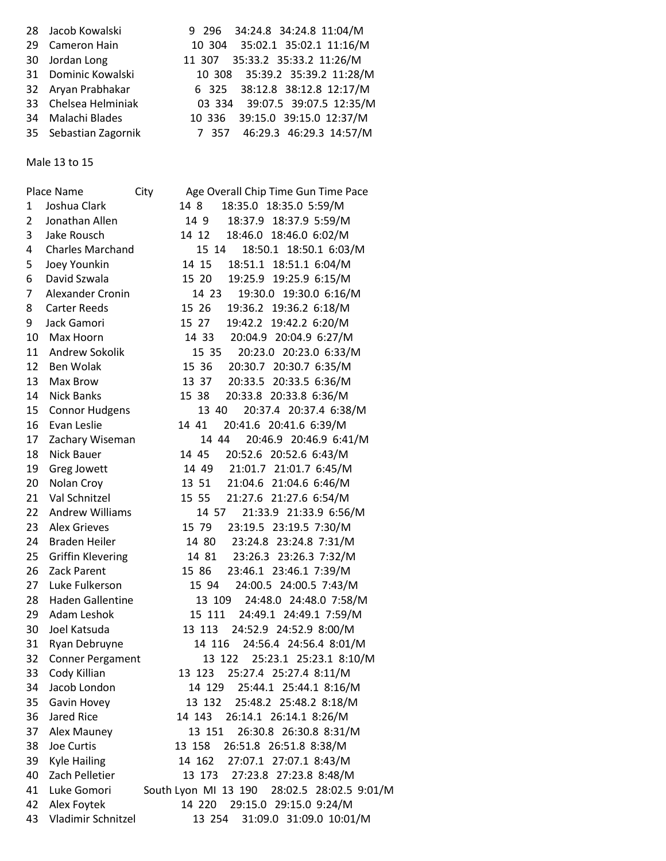| 28 Jacob Kowalski     | 9 296 34:24.8 34:24.8 11:04/M  |
|-----------------------|--------------------------------|
| 29 Cameron Hain       | 10 304 35:02.1 35:02.1 11:16/M |
| 30 Jordan Long        | 11 307 35:33.2 35:33.2 11:26/M |
| 31 Dominic Kowalski   | 10 308 35:39.2 35:39.2 11:28/M |
| 32 Aryan Prabhakar    | 6 325 38:12.8 38:12.8 12:17/M  |
| 33 Chelsea Helminiak  | 03 334 39:07.5 39:07.5 12:35/M |
| 34 Malachi Blades     | 10 336 39:15.0 39:15.0 12:37/M |
| 35 Sebastian Zagornik | 7 357 46:29.3 46:29.3 14:57/M  |
|                       |                                |

Male 13 to 15

|    | Place Name              | Age Overall Chip Time Gun Time Pace<br>City |
|----|-------------------------|---------------------------------------------|
| 1  | Joshua Clark            | 18:35.0 18:35.0 5:59/M<br>14 8              |
| 2  | Jonathan Allen          | 18:37.9 18:37.9 5:59/M<br>14 9              |
| 3  | Jake Rousch             | 14 12 18:46.0 18:46.0 6:02/M                |
| 4  | <b>Charles Marchand</b> | 15 14<br>18:50.1 18:50.1 6:03/M             |
| 5  | Joey Younkin            | 14 15<br>18:51.1 18:51.1 6:04/M             |
| 6  | David Szwala            | 15 20<br>19:25.9 19:25.9 6:15/M             |
| 7  | Alexander Cronin        | 19:30.0 19:30.0 6:16/M<br>14 23             |
| 8  | <b>Carter Reeds</b>     | 15 26 19:36.2 19:36.2 6:18/M                |
| 9  | Jack Gamori             | 15 27 19:42.2 19:42.2 6:20/M                |
| 10 | Max Hoorn               | 14 33 20:04.9 20:04.9 6:27/M                |
| 11 | Andrew Sokolik          | 20:23.0 20:23.0 6:33/M<br>15 35             |
| 12 | Ben Wolak               | 15 36 20:30.7 20:30.7 6:35/M                |
| 13 | Max Brow                | 13 37 20:33.5 20:33.5 6:36/M                |
| 14 | <b>Nick Banks</b>       | 20:33.8 20:33.8 6:36/M<br>15 38             |
| 15 | <b>Connor Hudgens</b>   | 20:37.4 20:37.4 6:38/M<br>13 40             |
| 16 | Evan Leslie             | 14 41<br>20:41.6 20:41.6 6:39/M             |
| 17 | Zachary Wiseman         | 14 44 20:46.9 20:46.9 6:41/M                |
| 18 | <b>Nick Bauer</b>       | 14 45 20:52.6 20:52.6 6:43/M                |
| 19 | Greg Jowett             | 14 49 21:01.7 21:01.7 6:45/M                |
| 20 | Nolan Croy              | 13 51 21:04.6 21:04.6 6:46/M                |
| 21 | Val Schnitzel           | 15 55 21:27.6 21:27.6 6:54/M                |
| 22 | <b>Andrew Williams</b>  | 21:33.9 21:33.9 6:56/M<br>14 57             |
| 23 | <b>Alex Grieves</b>     | 15 79<br>23:19.5 23:19.5 7:30/M             |
| 24 | Braden Heiler           | 14 80 23:24.8 23:24.8 7:31/M                |
| 25 | Griffin Klevering       | 14 81 23:26.3 23:26.3 7:32/M                |
| 26 | Zack Parent             | 15 86 23:46.1 23:46.1 7:39/M                |
| 27 | Luke Fulkerson          | 24:00.5 24:00.5 7:43/M<br>15 94             |
| 28 | <b>Haden Gallentine</b> | 24:48.0 24:48.0 7:58/M<br>13 109            |
| 29 | Adam Leshok             | 15 111 24:49.1 24:49.1 7:59/M               |
| 30 | Joel Katsuda            | 13 113 24:52.9 24:52.9 8:00/M               |
| 31 | Ryan Debruyne           | 14 116<br>24:56.4 24:56.4 8:01/M            |
| 32 | Conner Pergament        | 13 122 25:23.1 25:23.1 8:10/M               |
| 33 | Cody Killian            | 13 123 25:27.4 25:27.4 8:11/M               |
| 34 | Jacob London            | 14 129 25:44.1 25:44.1 8:16/M               |
| 35 | Gavin Hovey             | 13 132 25:48.2 25:48.2 8:18/M               |
| 36 | Jared Rice              | 26:14.1 26:14.1 8:26/M<br>14 143            |
| 37 | Alex Mauney             | 13 151<br>26:30.8 26:30.8 8:31/M            |
| 38 | Joe Curtis              | 26:51.8 26:51.8 8:38/M<br>13 158            |
| 39 | <b>Kyle Hailing</b>     | 14 162<br>27:07.1 27:07.1 8:43/M            |
| 40 | Zach Pelletier          | 27:23.8 27:23.8 8:48/M<br>13 173            |
| 41 | Luke Gomori             | South Lyon MI 13 190 28:02.5 28:02.5 9:01/M |
| 42 | Alex Foytek             | 14 220 29:15.0 29:15.0 9:24/M               |
| 43 | Vladimir Schnitzel      | 31:09.0 31:09.0 10:01/M<br>13 254           |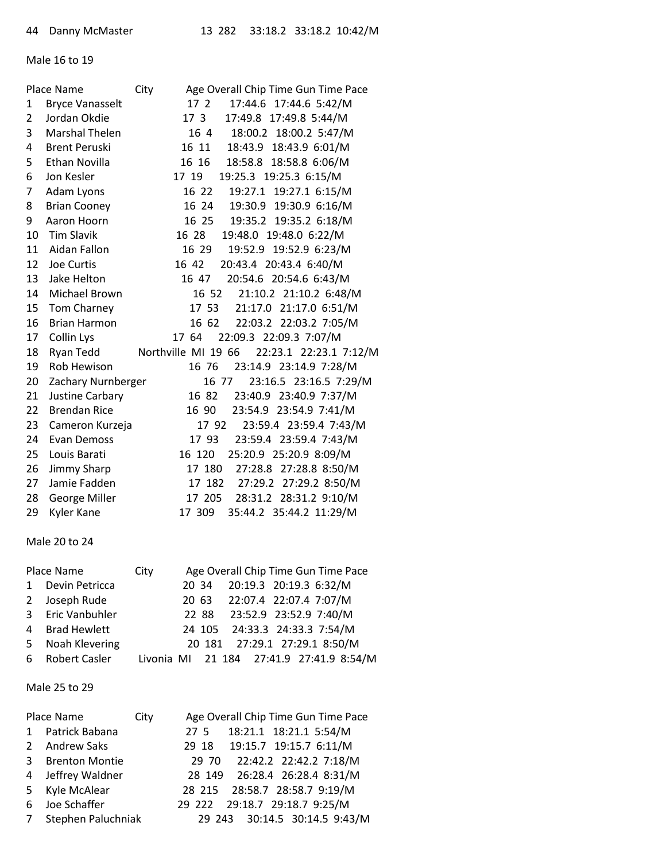#### Male 16 to 19

|                        | City                                         |                                       | Age Overall Chip Time Gun Time Pace                                                                                                                                                                                                                                                                  |
|------------------------|----------------------------------------------|---------------------------------------|------------------------------------------------------------------------------------------------------------------------------------------------------------------------------------------------------------------------------------------------------------------------------------------------------|
| <b>Bryce Vanasselt</b> |                                              |                                       | 17:44.6 17:44.6 5:42/M                                                                                                                                                                                                                                                                               |
| Jordan Okdie           |                                              | 17 3                                  | 17:49.8 17:49.8 5:44/M                                                                                                                                                                                                                                                                               |
| <b>Marshal Thelen</b>  |                                              |                                       | 18:00.2 18:00.2 5:47/M                                                                                                                                                                                                                                                                               |
| <b>Brent Peruski</b>   |                                              |                                       |                                                                                                                                                                                                                                                                                                      |
| Ethan Novilla          |                                              | 16 16                                 | 18:58.8 18:58.8 6:06/M                                                                                                                                                                                                                                                                               |
| Jon Kesler             |                                              | 17 19                                 | 19:25.3 19:25.3 6:15/M                                                                                                                                                                                                                                                                               |
| Adam Lyons             |                                              |                                       | 19:27.1 19:27.1 6:15/M                                                                                                                                                                                                                                                                               |
| <b>Brian Cooney</b>    |                                              |                                       |                                                                                                                                                                                                                                                                                                      |
| Aaron Hoorn            |                                              |                                       |                                                                                                                                                                                                                                                                                                      |
| <b>Tim Slavik</b>      |                                              | 16 28                                 | 19:48.0 19:48.0 6:22/M                                                                                                                                                                                                                                                                               |
| Aidan Fallon           |                                              |                                       | 19:52.9 19:52.9 6:23/M                                                                                                                                                                                                                                                                               |
| Joe Curtis             |                                              | 16 42                                 | 20:43.4 20:43.4 6:40/M                                                                                                                                                                                                                                                                               |
| Jake Helton            |                                              |                                       | 20:54.6 20:54.6 6:43/M                                                                                                                                                                                                                                                                               |
| Michael Brown          |                                              |                                       | 21:10.2 21:10.2 6:48/M                                                                                                                                                                                                                                                                               |
| Tom Charney            |                                              |                                       | 21:17.0 21:17.0 6:51/M                                                                                                                                                                                                                                                                               |
| <b>Brian Harmon</b>    |                                              |                                       | 22:03.2 22:03.2 7:05/M                                                                                                                                                                                                                                                                               |
| Collin Lys             |                                              | 17 64                                 | 22:09.3 22:09.3 7:07/M                                                                                                                                                                                                                                                                               |
| Ryan Tedd              |                                              |                                       |                                                                                                                                                                                                                                                                                                      |
| Rob Hewison            |                                              |                                       | 23:14.9 23:14.9 7:28/M                                                                                                                                                                                                                                                                               |
|                        |                                              |                                       | 23:16.5 23:16.5 7:29/M                                                                                                                                                                                                                                                                               |
|                        |                                              |                                       | 23:40.9 23:40.9 7:37/M                                                                                                                                                                                                                                                                               |
| <b>Brendan Rice</b>    |                                              |                                       | 23:54.9 23:54.9 7:41/M                                                                                                                                                                                                                                                                               |
|                        |                                              |                                       | 23:59.4 23:59.4 7:43/M                                                                                                                                                                                                                                                                               |
| <b>Evan Demoss</b>     |                                              |                                       | 23:59.4 23:59.4 7:43/M                                                                                                                                                                                                                                                                               |
| Louis Barati           |                                              | 16 120                                | 25:20.9 25:20.9 8:09/M                                                                                                                                                                                                                                                                               |
|                        |                                              |                                       | 27:28.8 27:28.8 8:50/M                                                                                                                                                                                                                                                                               |
| Jamie Fadden           |                                              |                                       | 17 182 27:29.2 27:29.2 8:50/M                                                                                                                                                                                                                                                                        |
| George Miller          |                                              |                                       | 28:31.2 28:31.2 9:10/M                                                                                                                                                                                                                                                                               |
| Kyler Kane             |                                              |                                       | 35:44.2 35:44.2 11:29/M                                                                                                                                                                                                                                                                              |
|                        | Place Name<br>Justine Carbary<br>Jimmy Sharp | Zachary Nurnberger<br>Cameron Kurzeja | 17 2<br>16 4<br>16 11 18:43.9 18:43.9 6:01/M<br>16 22<br>16 24 19:30.9 19:30.9 6:16/M<br>16 25 19:35.2 19:35.2 6:18/M<br>16 29<br>16 47<br>16 52<br>17 53<br>16 62<br>Northville MI 19 66 22:23.1 22:23.1 7:12/M<br>16 76<br>16 77<br>16 82<br>16 90<br>17 92<br>17 93<br>17 180<br>17 205<br>17 309 |

#### Male 20 to 24

|   | Place Name       | City | Age Overall Chip Time Gun Time Pace      |
|---|------------------|------|------------------------------------------|
|   | 1 Devin Petricca |      | 20 34 20:19.3 20:19.3 6:32/M             |
|   | 2 Joseph Rude    |      | 20 63 22:07.4 22:07.4 7:07/M             |
|   | 3 Eric Vanbuhler |      | 22 88 23:52.9 23:52.9 7:40/M             |
|   | 4 Brad Hewlett   |      | 24 105 24:33.3 24:33.3 7:54/M            |
| 5 | Noah Klevering   |      | 20 181 27:29.1 27:29.1 8:50/M            |
|   | 6 Robert Casler  |      | Livonia MI 21 184 27:41.9 27:41.9 8:54/M |

## Male 25 to 29

|              | Place Name            | City | Age Overall Chip Time Gun Time Pace |
|--------------|-----------------------|------|-------------------------------------|
| $\mathbf{1}$ | Patrick Babana        |      | 27 5 18:21.1 18:21.1 5:54/M         |
| 2            | Andrew Saks           |      | 29 18 19:15.7 19:15.7 6:11/M        |
| 3            | <b>Brenton Montie</b> |      | 29 70 22:42.2 22:42.2 7:18/M        |
| 4            | Jeffrey Waldner       |      | 28 149 26:28.4 26:28.4 8:31/M       |
| 5            | Kyle McAlear          |      | 28 215 28:58.7 28:58.7 9:19/M       |
| 6            | Joe Schaffer          |      | 29 222 29:18.7 29:18.7 9:25/M       |
| 7            | Stephen Paluchniak    |      | 29 243 30:14.5 30:14.5 9:43/M       |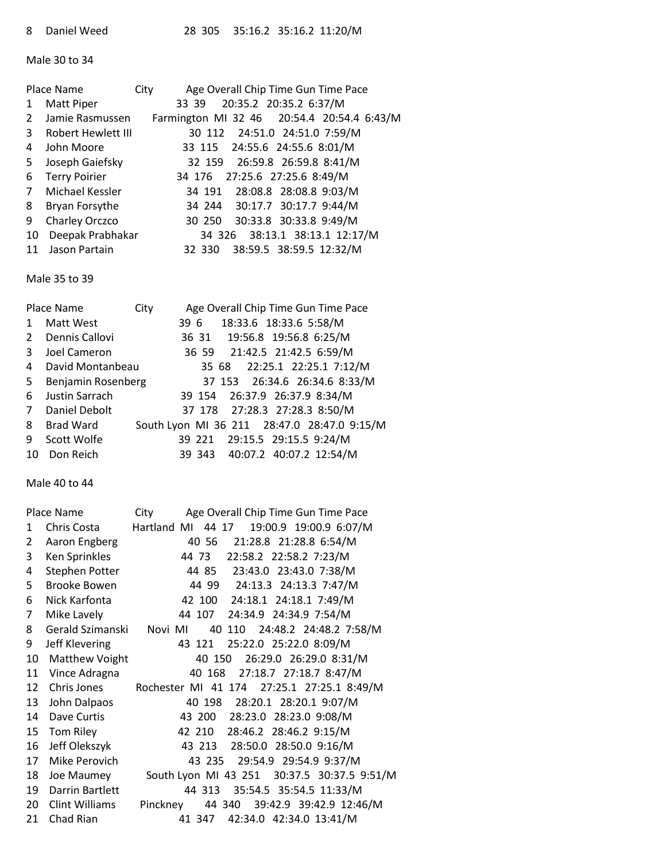Male 30 to 34

|                | Place Name           | City |                                            | Age Overall Chip Time Gun Time Pace |  |
|----------------|----------------------|------|--------------------------------------------|-------------------------------------|--|
| 1              | Matt Piper           |      | 33 39                                      | 20:35.2 20:35.2 6:37/M              |  |
| 2              | Jamie Rasmussen      |      | Farmington MI 32 46 20:54.4 20:54.4 6:43/M |                                     |  |
| 3              | Robert Hewlett III   |      |                                            | 30 112 24:51.0 24:51.0 7:59/M       |  |
| 4              | John Moore           |      | 33 115 24:55.6 24:55.6 8:01/M              |                                     |  |
| 5.             | Joseph Gaiefsky      |      | 32 159                                     | 26:59.8 26:59.8 8:41/M              |  |
| 6              | <b>Terry Poirier</b> |      | 34 176 27:25.6 27:25.6 8:49/M              |                                     |  |
| $\overline{7}$ | Michael Kessler      |      |                                            | 34 191 28:08.8 28:08.8 9:03/M       |  |
| 8              | Bryan Forsythe       |      |                                            | 34 244 30:17.7 30:17.7 9:44/M       |  |
| 9              | Charley Orczco       |      |                                            | 30 250 30:33.8 30:33.8 9:49/M       |  |
| 10             | Deepak Prabhakar     |      |                                            | 34 326 38:13.1 38:13.1 12:17/M      |  |
| 11             | Jason Partain        |      | 32 330                                     | 38:59.5 38:59.5 12:32/M             |  |

Male 35 to 39

|              | Place Name         | City |      |                                |  |  | Age Overall Chip Time Gun Time Pace         |
|--------------|--------------------|------|------|--------------------------------|--|--|---------------------------------------------|
| $\mathbf{1}$ | Matt West          |      | 39 6 | 18:33.6 18:33.6 5:58/M         |  |  |                                             |
| 2            | Dennis Callovi     |      |      | 36 31 19:56.8 19:56.8 6:25/M   |  |  |                                             |
| 3            | Joel Cameron       |      |      | 36 59 21:42.5 21:42.5 6:59/M   |  |  |                                             |
| 4            | David Montanbeau   |      |      |                                |  |  | 35 68 22:25.1 22:25.1 7:12/M                |
| 5            | Benjamin Rosenberg |      |      |                                |  |  | 37 153 26:34.6 26:34.6 8:33/M               |
| 6            | Justin Sarrach     |      |      | 39 154 26:37.9 26:37.9 8:34/M  |  |  |                                             |
| 7            | Daniel Debolt      |      |      | 37 178 27:28.3 27:28.3 8:50/M  |  |  |                                             |
| 8            | Brad Ward          |      |      |                                |  |  | South Lyon MI 36 211 28:47.0 28:47.0 9:15/M |
| 9            | Scott Wolfe        |      |      | 39 221 29:15.5 29:15.5 9:24/M  |  |  |                                             |
| 10           | Don Reich          |      |      | 39 343 40:07.2 40:07.2 12:54/M |  |  |                                             |

Male 40 to 44

|    | Place Name            | City        |        |                               |                        | Age Overall Chip Time Gun Time Pace         |
|----|-----------------------|-------------|--------|-------------------------------|------------------------|---------------------------------------------|
| 1  | Chris Costa           | Hartland MI |        | 44 17                         |                        | 19:00.9 19:00.9 6:07/M                      |
| 2  | Aaron Engberg         |             | 40 56  |                               |                        | 21:28.8 21:28.8 6:54/M                      |
| 3  | Ken Sprinkles         |             | 44 73  |                               | 22:58.2 22:58.2 7:23/M |                                             |
| 4  | <b>Stephen Potter</b> |             |        |                               |                        | 44 85 23:43.0 23:43.0 7:38/M                |
| 5. | <b>Brooke Bowen</b>   |             |        |                               |                        | 44 99 24:13.3 24:13.3 7:47/M                |
| 6  | Nick Karfonta         |             |        | 42 100 24:18.1 24:18.1 7:49/M |                        |                                             |
| 7  | Mike Lavely           |             | 44 107 |                               | 24:34.9 24:34.9 7:54/M |                                             |
| 8  | Gerald Szimanski      | Novi MI     |        |                               |                        | 40 110 24:48.2 24:48.2 7:58/M               |
| 9  | Jeff Klevering        |             | 43 121 |                               | 25:22.0 25:22.0 8:09/M |                                             |
| 10 | Matthew Voight        |             |        | 40 150                        |                        | 26:29.0 26:29.0 8:31/M                      |
| 11 | Vince Adragna         |             | 40 168 |                               |                        | 27:18.7 27:18.7 8:47/M                      |
| 12 | Chris Jones           |             |        |                               |                        | Rochester MI 41 174 27:25.1 27:25.1 8:49/M  |
| 13 | John Dalpaos          |             |        |                               |                        | 40 198 28:20.1 28:20.1 9:07/M               |
| 14 | Dave Curtis           |             |        | 43 200 28:23.0 28:23.0 9:08/M |                        |                                             |
| 15 | Tom Riley             |             | 42 210 |                               | 28:46.2 28:46.2 9:15/M |                                             |
| 16 | Jeff Olekszyk         |             |        | 43 213 28:50.0 28:50.0 9:16/M |                        |                                             |
| 17 | Mike Perovich         |             | 43 235 |                               |                        | 29:54.9 29:54.9 9:37/M                      |
| 18 | Joe Maumey            |             |        |                               |                        | South Lyon MI 43 251 30:37.5 30:37.5 9:51/M |
| 19 | Darrin Bartlett       |             | 44 313 |                               |                        | 35:54.5 35:54.5 11:33/M                     |
| 20 | Clint Williams        | Pinckney    |        |                               |                        | 44 340 39:42.9 39:42.9 12:46/M              |
| 21 | Chad Rian             |             | 41 347 |                               |                        | 42:34.0 42:34.0 13:41/M                     |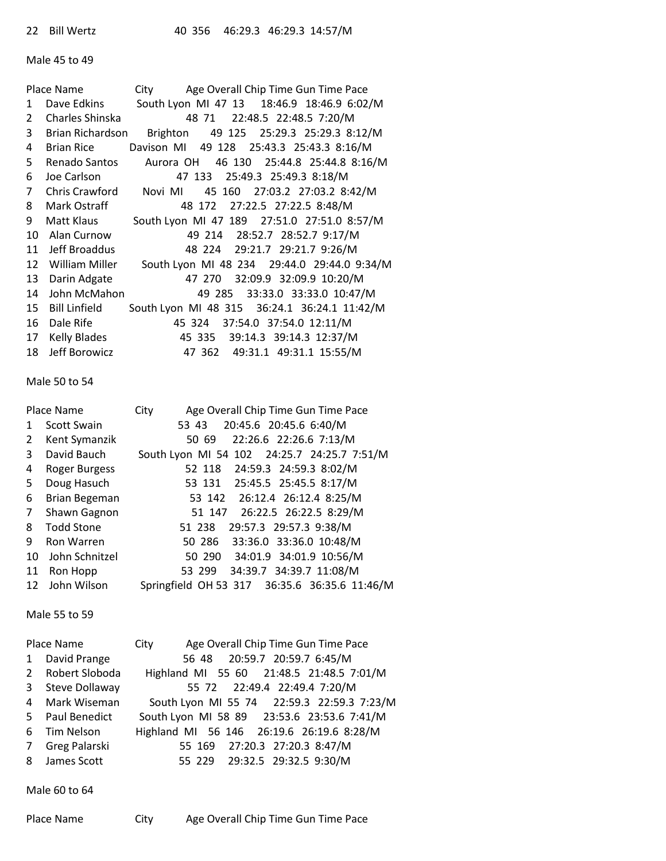#### Male 45 to 49

|                | Place Name           | Age Overall Chip Time Gun Time Pace<br>City  |
|----------------|----------------------|----------------------------------------------|
| 1              | Dave Edkins          | South Lyon MI 47 13 18:46.9 18:46.9 6:02/M   |
| 2              | Charles Shinska      | 48 71 22:48.5 22:48.5 7:20/M                 |
| 3              | Brian Richardson     | 49 125 25:29.3 25:29.3 8:12/M<br>Brighton    |
| 4              | <b>Brian Rice</b>    | Davison MI 49 128 25:43.3 25:43.3 8:16/M     |
| 5.             | Renado Santos        | 46 130 25:44.8 25:44.8 8:16/M<br>Aurora OH   |
| 6              | Joe Carlson          | 47 133 25:49.3 25:49.3 8:18/M                |
| $\overline{7}$ | Chris Crawford       | 45 160 27:03.2 27:03.2 8:42/M<br>Novi MI     |
| 8              | Mark Ostraff         | 48 172 27:22.5 27:22.5 8:48/M                |
| 9              | Matt Klaus           | South Lyon MI 47 189 27:51.0 27:51.0 8:57/M  |
| 10             | Alan Curnow          | 49 214 28:52.7 28:52.7 9:17/M                |
| 11             | Jeff Broaddus        | 48 224 29:21.7 29:21.7 9:26/M                |
| 12             | William Miller       | South Lyon MI 48 234 29:44.0 29:44.0 9:34/M  |
| 13             | Darin Adgate         | 32:09.9 32:09.9 10:20/M<br>47 270            |
| 14             | John McMahon         | 49 285 33:33.0 33:33.0 10:47/M               |
| 15             | <b>Bill Linfield</b> | South Lyon MI 48 315 36:24.1 36:24.1 11:42/M |
| 16             | Dale Rife            | 37:54.0 37:54.0 12:11/M<br>45 324            |
| 17             | <b>Kelly Blades</b>  | 45 335 39:14.3 39:14.3 12:37/M               |
| 18             | Jeff Borowicz        | 47 362 49:31.1 49:31.1 15:55/M               |

#### Male 50 to 54

|                | Place Name           | Age Overall Chip Time Gun Time Pace<br>City   |
|----------------|----------------------|-----------------------------------------------|
| $\mathbf{1}$   | <b>Scott Swain</b>   | 20:45.6 20:45.6 6:40/M<br>53 43               |
| $2^{\circ}$    | Kent Symanzik        | 22:26.6 22:26.6 7:13/M<br>50 69               |
| 3              | David Bauch          | South Lyon MI 54 102 24:25.7 24:25.7 7:51/M   |
| 4              | <b>Roger Burgess</b> | 52 118 24:59.3 24:59.3 8:02/M                 |
| 5.             | Doug Hasuch          | 53 131 25:45.5 25:45.5 8:17/M                 |
| 6              | <b>Brian Begeman</b> | 53 142 26:12.4 26:12.4 8:25/M                 |
| 7 <sup>1</sup> | Shawn Gagnon         | 51 147 26:22.5 26:22.5 8:29/M                 |
| 8              | <b>Todd Stone</b>    | 51 238 29:57.3 29:57.3 9:38/M                 |
| 9              | Ron Warren           | 50 286 33:36.0 33:36.0 10:48/M                |
| 10             | John Schnitzel       | 50 290 34:01.9 34:01.9 10:56/M                |
| 11             | Ron Hopp             | 53 299 34:39.7 34:39.7 11:08/M                |
|                | 12 John Wilson       | Springfield OH 53 317 36:35.6 36:35.6 11:46/M |

Male 55 to 59

|                | Place Name       | Age Overall Chip Time Gun Time Pace<br>City |
|----------------|------------------|---------------------------------------------|
|                | 1 David Prange   | 56 48 20:59.7 20:59.7 6:45/M                |
|                | 2 Robert Sloboda | Highland MI 55 60 21:48.5 21:48.5 7:01/M    |
| 3 <sup>1</sup> | Steve Dollaway   | 55 72 22:49.4 22:49.4 7:20/M                |
|                | 4 Mark Wiseman   | South Lyon MI 55 74 22:59.3 22:59.3 7:23/M  |
|                | 5 Paul Benedict  | South Lyon MI 58 89 23:53.6 23:53.6 7:41/M  |
|                | 6 Tim Nelson     | Highland MI 56 146 26:19.6 26:19.6 8:28/M   |
| $7^{\circ}$    | Greg Palarski    | 55 169 27:20.3 27:20.3 8:47/M               |
|                | 8 James Scott    | 55 229 29:32.5 29:32.5 9:30/M               |

Male 60 to 64

| Place Name | City | Age Overall Chip Time Gun Time Pace |
|------------|------|-------------------------------------|
|------------|------|-------------------------------------|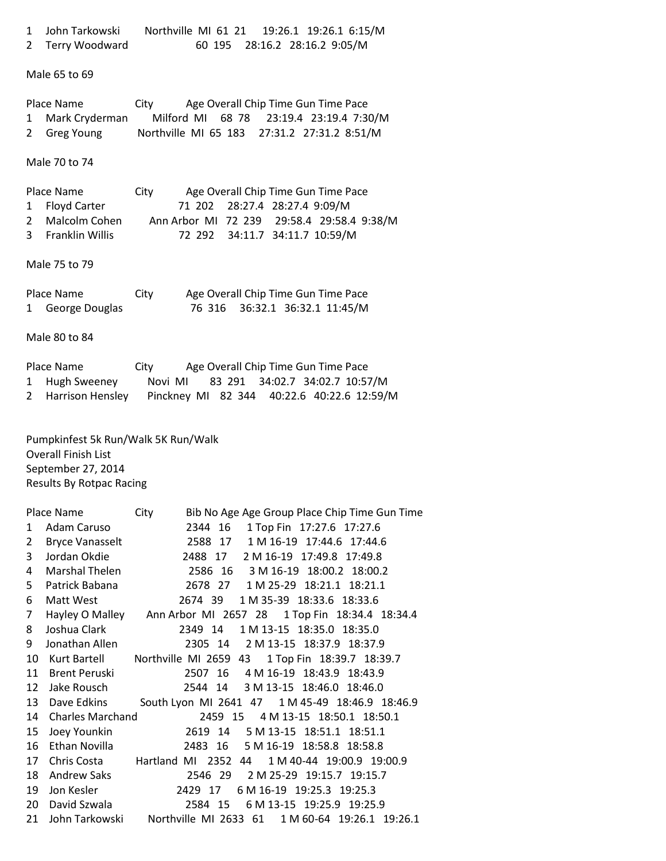| $\overline{2}$                      | John Tarkowski<br>Terry Woodward                                                                               | Northville MI 61 21<br>19:26.1 19:26.1 6:15/M<br>60 195 28:16.2 28:16.2 9:05/M                                                                                                                                                                       |  |
|-------------------------------------|----------------------------------------------------------------------------------------------------------------|------------------------------------------------------------------------------------------------------------------------------------------------------------------------------------------------------------------------------------------------------|--|
|                                     | Male 65 to 69                                                                                                  |                                                                                                                                                                                                                                                      |  |
| 1<br>$\overline{2}$                 | Place Name<br>Mark Cryderman<br>Greg Young                                                                     | Age Overall Chip Time Gun Time Pace<br>City<br>Milford MI 68 78<br>23:19.4 23:19.4 7:30/M<br>Northville MI 65 183 27:31.2 27:31.2 8:51/M                                                                                                             |  |
|                                     | Male 70 to 74                                                                                                  |                                                                                                                                                                                                                                                      |  |
| $\mathbf{1}$<br>$\overline{2}$<br>3 | Place Name<br>Floyd Carter<br>Malcolm Cohen<br>Franklin Willis                                                 | Age Overall Chip Time Gun Time Pace<br>City<br>28:27.4 28:27.4 9:09/M<br>71 202<br>Ann Arbor MI 72 239 29:58.4 29:58.4 9:38/M<br>34:11.7 34:11.7 10:59/M<br>72 292                                                                                   |  |
|                                     | Male 75 to 79                                                                                                  |                                                                                                                                                                                                                                                      |  |
| $\mathbf{1}$                        | Place Name<br>George Douglas                                                                                   | Age Overall Chip Time Gun Time Pace<br>City<br>76 316<br>36:32.1 36:32.1 11:45/M                                                                                                                                                                     |  |
|                                     | Male 80 to 84                                                                                                  |                                                                                                                                                                                                                                                      |  |
| $\mathbf{1}$<br>$\overline{2}$      | Place Name<br>Hugh Sweeney<br>Harrison Hensley                                                                 | Age Overall Chip Time Gun Time Pace<br>City<br>83 291 34:02.7 34:02.7 10:57/M<br>Novi MI<br>Pinckney MI 82 344 40:22.6 40:22.6 12:59/M                                                                                                               |  |
|                                     | Pumpkinfest 5k Run/Walk 5K Run/Walk<br><b>Overall Finish List</b>                                              |                                                                                                                                                                                                                                                      |  |
|                                     | September 27, 2014<br><b>Results By Rotpac Racing</b>                                                          |                                                                                                                                                                                                                                                      |  |
| 1<br>$\overline{2}$<br>3<br>4<br>5  | Place Name<br>Adam Caruso<br><b>Bryce Vanasselt</b><br>Jordan Okdie<br><b>Marshal Thelen</b><br>Patrick Babana | Bib No Age Age Group Place Chip Time Gun Time<br>City<br>2344 16<br>1 Top Fin 17:27.6 17:27.6<br>2588 17 1 M 16-19 17:44.6 17:44.6<br>2488 17<br>2 M 16-19 17:49.8 17:49.8<br>2586 16 3 M 16-19 18:00.2 18:00.2<br>2678 27 1 M 25-29 18:21.1 18:21.1 |  |
| 6<br>$\overline{7}$<br>8            | Matt West<br>Joshua Clark                                                                                      | 2674 39<br>1 M 35-39 18:33.6 18:33.6<br>Hayley O Malley Ann Arbor MI 2657 28 1 Top Fin 18:34.4 18:34.4<br>2349 14 1 M 13-15 18:35.0 18:35.0                                                                                                          |  |
| 9<br>10                             | Jonathan Allen<br>Kurt Bartell                                                                                 | 2305 14 2 M 13-15 18:37.9 18:37.9<br>Northville MI 2659 43<br>1 Top Fin 18:39.7 18:39.7                                                                                                                                                              |  |
| 11                                  | <b>Brent Peruski</b>                                                                                           | 2507 16<br>4 M 16-19 18:43.9 18:43.9                                                                                                                                                                                                                 |  |
| 12                                  | Jake Rousch<br>13 Dave Edkins                                                                                  | 2544 14 3 M 13-15 18:46.0 18:46.0<br>South Lyon MI 2641 47 1 M 45-49 18:46.9 18:46.9                                                                                                                                                                 |  |
|                                     | 14 Charles Marchand                                                                                            | 2459 15 4 M 13-15 18:50.1 18:50.1                                                                                                                                                                                                                    |  |
| 15                                  | Joey Younkin                                                                                                   | 2619 14 5 M 13-15 18:51.1 18:51.1                                                                                                                                                                                                                    |  |
|                                     | 16 Ethan Novilla                                                                                               | 2483 16 5 M 16-19 18:58.8 18:58.8                                                                                                                                                                                                                    |  |
|                                     | 17 Chris Costa                                                                                                 | Hartland MI 2352 44<br>1 M 40-44 19:00.9 19:00.9                                                                                                                                                                                                     |  |
| 18                                  | <b>Andrew Saks</b>                                                                                             | 2546 29<br>2 M 25-29 19:15.7 19:15.7                                                                                                                                                                                                                 |  |
| 19                                  | Jon Kesler                                                                                                     | 2429 17 6 M 16-19 19:25.3 19:25.3                                                                                                                                                                                                                    |  |
| 20<br>21                            | David Szwala<br>John Tarkowski                                                                                 | 2584 15<br>6 M 13-15 19:25.9 19:25.9<br>Northville MI 2633 61 1 M 60-64 19:26.1 19:26.1                                                                                                                                                              |  |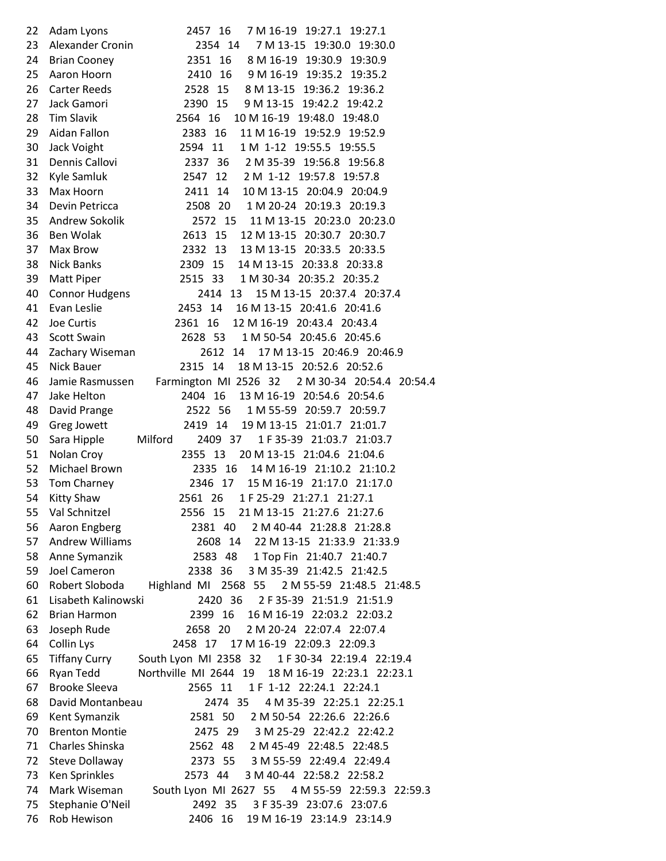| 22 | Adam Lyons             | 2457 16<br>7 M 16-19 19:27.1 19:27.1                            |
|----|------------------------|-----------------------------------------------------------------|
| 23 | Alexander Cronin       | 2354 14<br>7 M 13-15 19:30.0 19:30.0                            |
| 24 | <b>Brian Cooney</b>    | 2351 16<br>8 M 16-19 19:30.9 19:30.9                            |
| 25 | Aaron Hoorn            | 2410 16<br>9 M 16-19 19:35.2 19:35.2                            |
| 26 | <b>Carter Reeds</b>    | 8 M 13-15 19:36.2 19:36.2<br>2528 15                            |
| 27 | Jack Gamori            | 2390 15<br>9 M 13-15 19:42.2 19:42.2                            |
| 28 | <b>Tim Slavik</b>      | 2564 16<br>10 M 16-19 19:48.0 19:48.0                           |
| 29 | Aidan Fallon           | 11 M 16-19 19:52.9 19:52.9<br>2383 16                           |
| 30 | Jack Voight            | 1 M 1-12 19:55.5 19:55.5<br>2594 11                             |
| 31 | Dennis Callovi         | 2337 36 2 M 35-39 19:56.8 19:56.8                               |
| 32 | Kyle Samluk            | 2547 12 2 M 1-12 19:57.8 19:57.8                                |
| 33 | Max Hoorn              | 2411 14<br>10 M 13-15 20:04.9 20:04.9                           |
| 34 | Devin Petricca         | 2508 20 1 M 20-24 20:19.3 20:19.3                               |
| 35 | Andrew Sokolik         | 2572 15 11 M 13-15 20:23.0 20:23.0                              |
| 36 | Ben Wolak              | 2613 15<br>12 M 13-15 20:30.7 20:30.7                           |
| 37 | Max Brow               | 2332 13 13 M 13-15 20:33.5 20:33.5                              |
| 38 | <b>Nick Banks</b>      | 2309 15 14 M 13-15 20:33.8 20:33.8                              |
| 39 | <b>Matt Piper</b>      | 2515 33 1 M 30-34 20:35.2 20:35.2                               |
| 40 | <b>Connor Hudgens</b>  | 15 M 13-15 20:37.4 20:37.4<br>2414 13                           |
| 41 | Evan Leslie            | 2453 14 16 M 13-15 20:41.6 20:41.6                              |
| 42 | Joe Curtis             | 2361 16 12 M 16-19 20:43.4 20:43.4                              |
| 43 | <b>Scott Swain</b>     | 2628 53<br>1 M 50-54 20:45.6 20:45.6                            |
| 44 | Zachary Wiseman        | 2612 14<br>17 M 13-15 20:46.9 20:46.9                           |
| 45 | Nick Bauer             | 2315 14 18 M 13-15 20:52.6 20:52.6                              |
| 46 |                        | Jamie Rasmussen Farmington MI 2526 32 2 M 30-34 20:54.4 20:54.4 |
| 47 | Jake Helton            | 2404 16 13 M 16-19 20:54.6 20:54.6                              |
| 48 | David Prange           | 2522 56<br>1 M 55-59 20:59.7 20:59.7                            |
| 49 | Greg Jowett            | 2419 14<br>19 M 13-15 21:01.7 21:01.7                           |
| 50 | Sara Hipple            | Milford<br>2409 37<br>1 F 35-39 21:03.7 21:03.7                 |
| 51 | Nolan Croy             | 2355 13<br>20 M 13-15 21:04.6 21:04.6                           |
| 52 | Michael Brown          | 14 M 16-19 21:10.2 21:10.2<br>2335 16                           |
| 53 | Tom Charney            | 2346 17<br>15 M 16-19 21:17.0 21:17.0                           |
| 54 | <b>Kitty Shaw</b>      | 2561 26<br>1 F 25-29 21:27.1 21:27.1                            |
| 55 | Val Schnitzel          | 2556 15<br>21 M 13-15 21:27.6 21:27.6                           |
| 56 | Aaron Engberg          | 2 M 40-44 21:28.8 21:28.8<br>2381 40                            |
| 57 | <b>Andrew Williams</b> | 2608 14 22 M 13-15 21:33.9 21:33.9                              |
| 58 | Anne Symanzik          | 2583 48<br>1 Top Fin 21:40.7 21:40.7                            |
| 59 | Joel Cameron           | 3 M 35-39 21:42.5 21:42.5<br>2338 36                            |
| 60 | Robert Sloboda         | Highland MI 2568 55<br>2 M 55-59 21:48.5 21:48.5                |
| 61 | Lisabeth Kalinowski    | 2420 36<br>2 F 35-39 21:51.9 21:51.9                            |
| 62 | <b>Brian Harmon</b>    | 2399 16<br>16 M 16-19 22:03.2 22:03.2                           |
| 63 | Joseph Rude            | 2658 20<br>2 M 20-24 22:07.4 22:07.4                            |
| 64 | Collin Lys             | 2458 17<br>17 M 16-19 22:09.3 22:09.3                           |
| 65 | <b>Tiffany Curry</b>   | South Lyon MI 2358 32<br>1 F 30-34 22:19.4 22:19.4              |
| 66 | Ryan Tedd              | Northville MI 2644 19<br>18 M 16-19 22:23.1 22:23.1             |
| 67 | <b>Brooke Sleeva</b>   | 1 F 1-12 22:24.1 22:24.1<br>2565 11                             |
| 68 | David Montanbeau       | 2474 35<br>4 M 35-39 22:25.1 22:25.1                            |
| 69 | Kent Symanzik          | 2581 50<br>2 M 50-54 22:26.6 22:26.6                            |
| 70 | <b>Brenton Montie</b>  | 2475 29<br>3 M 25-29 22:42.2 22:42.2                            |
| 71 | Charles Shinska        | 2 M 45-49 22:48.5 22:48.5<br>2562 48                            |
| 72 | Steve Dollaway         | 2373 55<br>3 M 55-59 22:49.4 22:49.4                            |
| 73 | Ken Sprinkles          | 3 M 40-44 22:58.2 22:58.2<br>2573 44                            |
| 74 | Mark Wiseman           | South Lyon MI 2627 55<br>4 M 55-59 22:59.3 22:59.3              |
| 75 | Stephanie O'Neil       | 2492 35<br>3 F 35-39 23:07.6 23:07.6                            |
| 76 | Rob Hewison            | 19 M 16-19 23:14.9 23:14.9<br>2406 16                           |
|    |                        |                                                                 |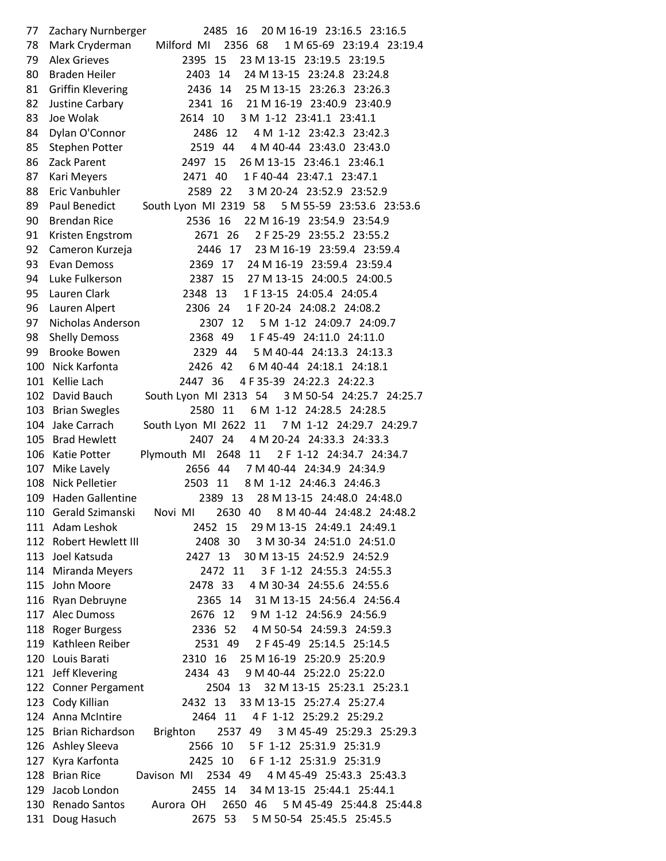77 Zachary Nurnberger 2485 16 20 M 16-19 23:16.5 23:16.5 78 Mark Cryderman Milford MI 2356 68 1 M 65-69 23:19.4 23:19.4 79 Alex Grieves 2395 15 23 M 13-15 23:19.5 23:19.5 80 Braden Heiler 2403 14 24 M 13-15 23:24.8 23:24.8 81 Griffin Klevering 2436 14 25 M 13-15 23:26.3 23:26.3 82 Justine Carbary 2341 16 21 M 16-19 23:40.9 23:40.9 83 Joe Wolak 2614 10 3 M 1-12 23:41.1 23:41.1 84 Dylan O'Connor 2486 12 4 M 1-12 23:42.3 23:42.3 85 Stephen Potter 2519 44 4 M 40-44 23:43.0 23:43.0 86 Zack Parent 2497 15 26 M 13-15 23:46.1 23:46.1 87 Kari Meyers 2471 40 1 F 40-44 23:47.1 23:47.1 88 Eric Vanbuhler 2589 22 3 M 20-24 23:52.9 23:52.9 89 Paul Benedict South Lyon MI 2319 58 5 M 55-59 23:53.6 23:53.6 90 Brendan Rice 2536 16 22 M 16-19 23:54.9 23:54.9 91 Kristen Engstrom 2671 26 2 F 25-29 23:55.2 23:55.2 92 Cameron Kurzeja 2446 17 23 M 16-19 23:59.4 23:59.4 93 Evan Demoss 2369 17 24 M 16-19 23:59.4 23:59.4 94 Luke Fulkerson 2387 15 27 M 13-15 24:00.5 24:00.5 95 Lauren Clark 2348 13 1 F 13-15 24:05.4 24:05.4 96 Lauren Alpert 2306 24 1 F 20-24 24:08.2 24:08.2 97 Nicholas Anderson 2307 12 5 M 1-12 24:09.7 24:09.7 98 Shelly Demoss 2368 49 1 F 45-49 24:11.0 24:11.0 99 Brooke Bowen 2329 44 5 M 40-44 24:13.3 24:13.3 100 Nick Karfonta 2426 42 6 M 40-44 24:18.1 24:18.1 101 Kellie Lach 2447 36 4 F 35-39 24:22.3 24:22.3 102 David Bauch South Lyon MI 2313 54 3 M 50-54 24:25.7 24:25.7 103 Brian Swegles 2580 11 6 M 1-12 24:28.5 24:28.5 104 Jake Carrach South Lyon MI 2622 11 7 M 1-12 24:29.7 24:29.7 105 Brad Hewlett 2407 24 4 M 20-24 24:33.3 24:33.3 106 Katie Potter Plymouth MI 2648 11 2 F 1-12 24:34.7 24:34.7 107 Mike Lavely 2656 44 7 M 40-44 24:34.9 24:34.9 108 Nick Pelletier 2503 11 8 M 1-12 24:46.3 24:46.3 109 Haden Gallentine 2389 13 28 M 13-15 24:48.0 24:48.0 110 Gerald Szimanski Novi MI 2630 40 8 M 40-44 24:48.2 24:48.2 111 Adam Leshok 2452 15 29 M 13-15 24:49.1 24:49.1 112 Robert Hewlett III 2408 30 3 M 30-34 24:51.0 24:51.0 113 Joel Katsuda 2427 13 30 M 13-15 24:52.9 24:52.9 114 Miranda Meyers 2472 11 3 F 1-12 24:55.3 24:55.3 115 John Moore 2478 33 4 M 30-34 24:55.6 24:55.6 116 Ryan Debruyne 2365 14 31 M 13-15 24:56.4 24:56.4 117 Alec Dumoss 2676 12 9 M 1-12 24:56.9 24:56.9 118 Roger Burgess 2336 52 4 M 50-54 24:59.3 24:59.3 119 Kathleen Reiber 2531 49 2 F 45-49 25:14.5 25:14.5 120 Louis Barati 2310 16 25 M 16-19 25:20.9 25:20.9 121 Jeff Klevering 2434 43 9 M 40-44 25:22.0 25:22.0 122 Conner Pergament 2504 13 32 M 13-15 25:23.1 25:23.1 123 Cody Killian 2432 13 33 M 13-15 25:27.4 25:27.4 124 Anna McIntire 2464 11 4 F 1-12 25:29.2 25:29.2 125 Brian Richardson Brighton 2537 49 3 M 45-49 25:29.3 25:29.3 126 Ashley Sleeva 2566 10 5 F 1-12 25:31.9 25:31.9 127 Kyra Karfonta 2425 10 6 F 1-12 25:31.9 25:31.9 128 Brian Rice Davison MI 2534 49 4 M 45-49 25:43.3 25:43.3 129 Jacob London 2455 14 34 M 13-15 25:44.1 25:44.1 130 Renado Santos Aurora OH 2650 46 5 M 45-49 25:44.8 25:44.8 131 Doug Hasuch 2675 53 5 M 50-54 25:45.5 25:45.5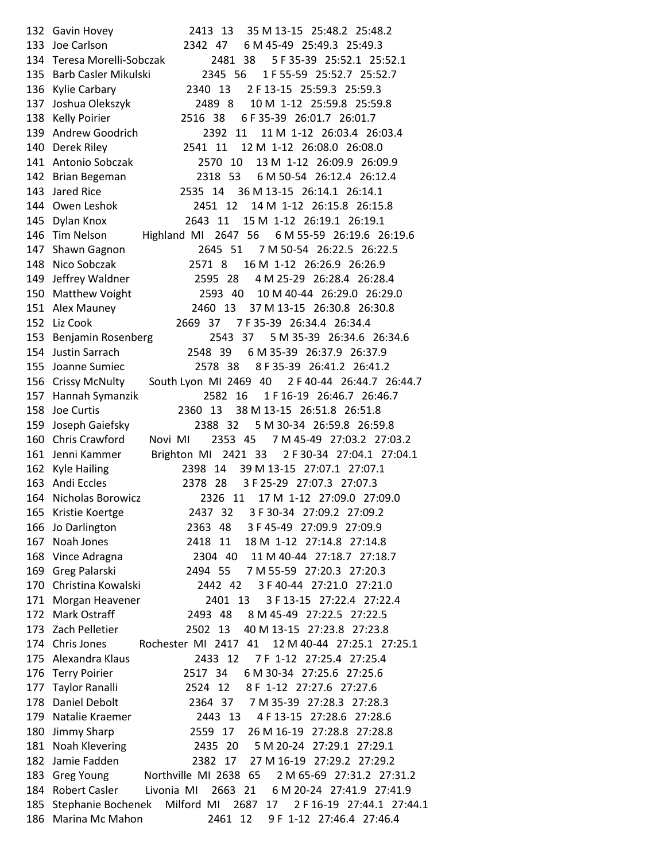132 Gavin Hovey 2413 13 35 M 13-15 25:48.2 25:48.2 133 Joe Carlson 2342 47 6 M 45-49 25:49.3 25:49.3 134 Teresa Morelli-Sobczak 2481 38 5 F 35-39 25:52.1 25:52.1 135 Barb Casler Mikulski 2345 56 1 F 55-59 25:52.7 25:52.7 136 Kylie Carbary 2340 13 2 F 13-15 25:59.3 25:59.3 137 Joshua Olekszyk 2489 8 10 M 1-12 25:59.8 25:59.8 138 Kelly Poirier 2516 38 6 F 35-39 26:01.7 26:01.7 139 Andrew Goodrich 2392 11 11 M 1-12 26:03.4 26:03.4 140 Derek Riley 2541 11 12 M 1-12 26:08.0 26:08.0 141 Antonio Sobczak 2570 10 13 M 1-12 26:09.9 26:09.9 142 Brian Begeman 2318 53 6 M 50-54 26:12.4 26:12.4 143 Jared Rice 2535 14 36 M 13-15 26:14.1 26:14.1 144 Owen Leshok 2451 12 14 M 1-12 26:15.8 26:15.8 145 Dylan Knox 2643 11 15 M 1-12 26:19.1 26:19.1 146 Tim Nelson Highland MI 2647 56 6 M 55-59 26:19.6 26:19.6 147 Shawn Gagnon 2645 51 7 M 50-54 26:22.5 26:22.5 148 Nico Sobczak 2571 8 16 M 1-12 26:26.9 26:26.9 149 Jeffrey Waldner 2595 28 4 M 25-29 26:28.4 26:28.4 150 Matthew Voight 2593 40 10 M 40-44 26:29.0 26:29.0 151 Alex Mauney 2460 13 37 M 13-15 26:30.8 26:30.8 152 Liz Cook 2669 37 7 F 35-39 26:34.4 26:34.4 153 Benjamin Rosenberg 2543 37 5 M 35-39 26:34.6 26:34.6 154 Justin Sarrach 2548 39 6 M 35-39 26:37.9 26:37.9 155 Joanne Sumiec 2578 38 8 F 35-39 26:41.2 26:41.2 156 Crissy McNulty South Lyon MI 2469 40 2 F 40-44 26:44.7 26:44.7 157 Hannah Symanzik 2582 16 1 F 16-19 26:46.7 26:46.7 158 Joe Curtis 2360 13 38 M 13-15 26:51.8 26:51.8 159 Joseph Gaiefsky 2388 32 5 M 30-34 26:59.8 26:59.8 160 Chris Crawford Novi MI 2353 45 7 M 45-49 27:03.2 27:03.2 161 Jenni Kammer Brighton MI 2421 33 2 F 30-34 27:04.1 27:04.1 162 Kyle Hailing 2398 14 39 M 13-15 27:07.1 27:07.1 163 Andi Eccles 2378 28 3 F 25-29 27:07.3 27:07.3 164 Nicholas Borowicz 2326 11 17 M 1-12 27:09.0 27:09.0 165 Kristie Koertge 2437 32 3 F 30-34 27:09.2 27:09.2 166 Jo Darlington 2363 48 3 F 45-49 27:09.9 27:09.9 167 Noah Jones 2418 11 18 M 1-12 27:14.8 27:14.8 168 Vince Adragna 2304 40 11 M 40-44 27:18.7 27:18.7 169 Greg Palarski 2494 55 7 M 55-59 27:20.3 27:20.3 170 Christina Kowalski 2442 42 3 F 40-44 27:21.0 27:21.0 171 Morgan Heavener 2401 13 3 F 13-15 27:22.4 27:22.4 172 Mark Ostraff 2493 48 8 M 45-49 27:22.5 27:22.5 173 Zach Pelletier 2502 13 40 M 13-15 27:23.8 27:23.8 174 Chris Jones Rochester MI 2417 41 12 M 40-44 27:25.1 27:25.1 175 Alexandra Klaus 2433 12 7 F 1-12 27:25.4 27:25.4 176 Terry Poirier 2517 34 6 M 30-34 27:25.6 27:25.6 177 Taylor Ranalli 2524 12 8 F 1-12 27:27.6 27:27.6 178 Daniel Debolt 2364 37 7 M 35-39 27:28.3 27:28.3 179 Natalie Kraemer 2443 13 4 F 13-15 27:28.6 27:28.6 180 Jimmy Sharp 2559 17 26 M 16-19 27:28.8 27:28.8 181 Noah Klevering 2435 20 5 M 20-24 27:29.1 27:29.1 182 Jamie Fadden 2382 17 27 M 16-19 27:29.2 27:29.2 183 Greg Young Northville MI 2638 65 2 M 65-69 27:31.2 27:31.2 184 Robert Casler Livonia MI 2663 21 6 M 20-24 27:41.9 27:41.9 185 Stephanie Bochenek Milford MI 2687 17 2 F 16-19 27:44.1 27:44.1 186 Marina Mc Mahon 2461 12 9 F 1-12 27:46.4 27:46.4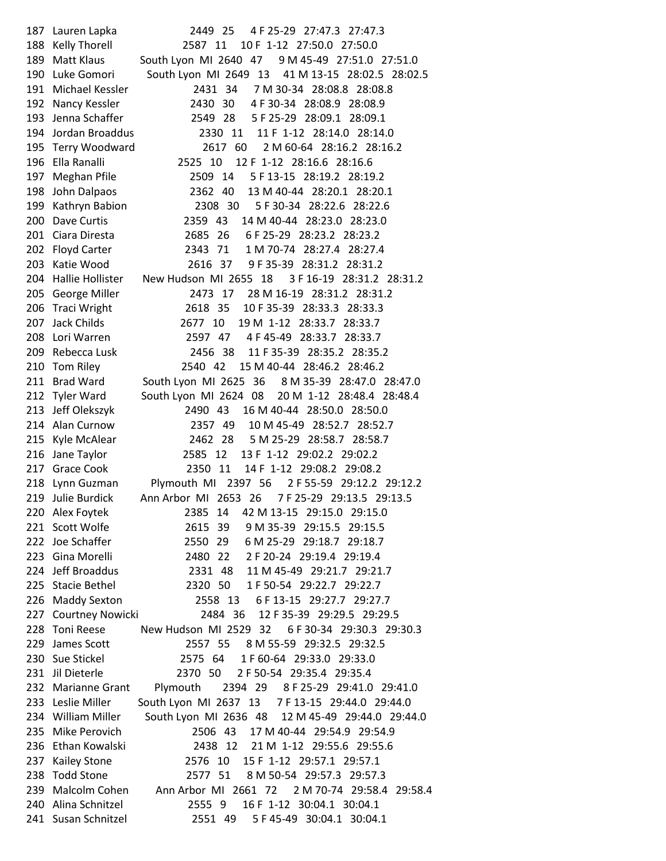187 Lauren Lapka 2449 25 4 F 25-29 27:47.3 27:47.3 188 Kelly Thorell 2587 11 10 F 1-12 27:50.0 27:50.0 189 Matt Klaus South Lyon MI 2640 47 9 M 45-49 27:51.0 27:51.0 190 Luke Gomori South Lyon MI 2649 13 41 M 13-15 28:02.5 28:02.5 191 Michael Kessler 2431 34 7 M 30-34 28:08.8 28:08.8 192 Nancy Kessler 2430 30 4 F 30-34 28:08.9 28:08.9 193 Jenna Schaffer 2549 28 5 F 25-29 28:09.1 28:09.1 194 Jordan Broaddus 2330 11 11 F 1-12 28:14.0 28:14.0 195 Terry Woodward 2617 60 2 M 60-64 28:16.2 28:16.2 196 Ella Ranalli 2525 10 12 F 1-12 28:16.6 28:16.6 197 Meghan Pfile 2509 14 5 F 13-15 28:19.2 28:19.2 198 John Dalpaos 2362 40 13 M 40-44 28:20.1 28:20.1 199 Kathryn Babion 2308 30 5 F 30-34 28:22.6 28:22.6 200 Dave Curtis 2359 43 14 M 40-44 28:23.0 28:23.0 201 Ciara Diresta 2685 26 6 F 25-29 28:23.2 28:23.2 202 Floyd Carter 2343 71 1 M 70-74 28:27.4 28:27.4 203 Katie Wood 2616 37 9 F 35-39 28:31.2 28:31.2 204 Hallie Hollister New Hudson MI 2655 18 3 F 16-19 28:31.2 28:31.2 205 George Miller 2473 17 28 M 16-19 28:31.2 28:31.2 206 Traci Wright 2618 35 10 F 35-39 28:33.3 28:33.3 207 Jack Childs 2677 10 19 M 1-12 28:33.7 28:33.7 208 Lori Warren 2597 47 4 F 45-49 28:33.7 28:33.7 209 Rebecca Lusk 2456 38 11 F 35-39 28:35.2 28:35.2 210 Tom Riley 2540 42 15 M 40-44 28:46.2 28:46.2 211 Brad Ward South Lyon MI 2625 36 8 M 35-39 28:47.0 28:47.0 212 Tyler Ward South Lyon MI 2624 08 20 M 1-12 28:48.4 28:48.4 213 Jeff Olekszyk 2490 43 16 M 40-44 28:50.0 28:50.0 214 Alan Curnow 2357 49 10 M 45-49 28:52.7 28:52.7 215 Kyle McAlear 2462 28 5 M 25-29 28:58.7 28:58.7 216 Jane Taylor 2585 12 13 F 1-12 29:02.2 29:02.2 217 Grace Cook 2350 11 14 F 1-12 29:08.2 29:08.2 218 Lynn Guzman Plymouth MI 2397 56 2 F 55-59 29:12.2 29:12.2 219 Julie Burdick Ann Arbor MI 2653 26 7 F 25-29 29:13.5 29:13.5 220 Alex Foytek 2385 14 42 M 13-15 29:15.0 29:15.0 221 Scott Wolfe 2615 39 9 M 35-39 29:15.5 29:15.5 222 Joe Schaffer 2550 29 6 M 25-29 29:18.7 29:18.7 223 Gina Morelli 2480 22 2 F 20-24 29:19.4 29:19.4 224 Jeff Broaddus 2331 48 11 M 45-49 29:21.7 29:21.7 225 Stacie Bethel 2320 50 1 F 50-54 29:22.7 29:22.7 226 Maddy Sexton 2558 13 6 F 13-15 29:27.7 29:27.7 227 Courtney Nowicki 2484 36 12 F 35-39 29:29.5 29:29.5 228 Toni Reese New Hudson MI 2529 32 6 F 30-34 29:30.3 29:30.3 229 James Scott 2557 55 8 M 55-59 29:32.5 29:32.5 230 Sue Stickel 2575 64 1 F 60-64 29:33.0 29:33.0 231 Jil Dieterle 2370 50 2 F 50-54 29:35.4 29:35.4 232 Marianne Grant Plymouth 2394 29 8 F 25-29 29:41.0 29:41.0 233 Leslie Miller South Lyon MI 2637 13 7 F 13-15 29:44.0 29:44.0 234 William Miller South Lyon MI 2636 48 12 M 45-49 29:44.0 29:44.0 235 Mike Perovich 2506 43 17 M 40-44 29:54.9 29:54.9 236 Ethan Kowalski 2438 12 21 M 1-12 29:55.6 29:55.6 237 Kailey Stone 2576 10 15 F 1-12 29:57.1 29:57.1 238 Todd Stone 2577 51 8 M 50-54 29:57.3 29:57.3 239 Malcolm Cohen Ann Arbor MI 2661 72 2 M 70-74 29:58.4 29:58.4 240 Alina Schnitzel 2555 9 16 F 1-12 30:04.1 30:04.1 241 Susan Schnitzel 2551 49 5 F 45-49 30:04.1 30:04.1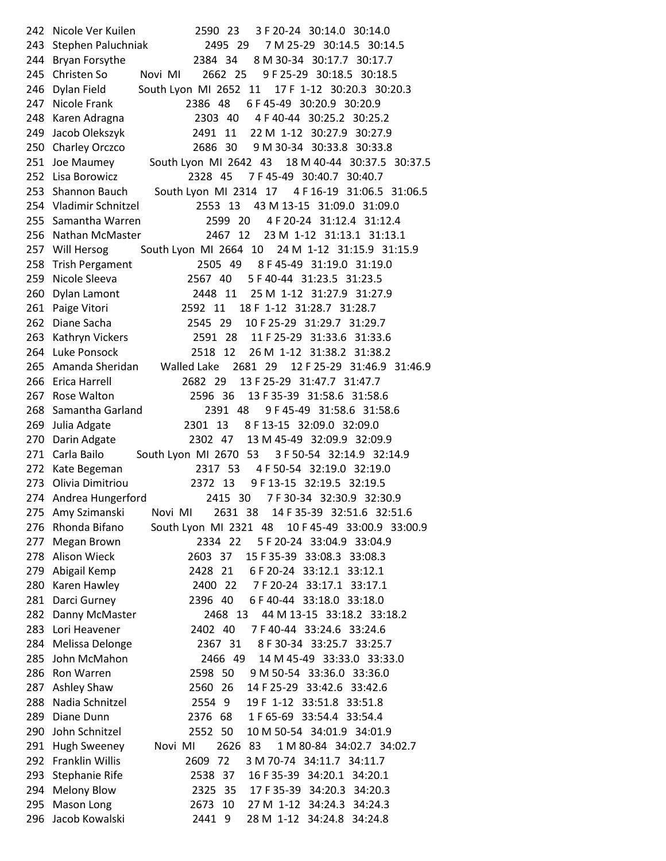242 Nicole Ver Kuilen 2590 23 3 F 20-24 30:14.0 30:14.0 243 Stephen Paluchniak 2495 29 7 M 25-29 30:14.5 30:14.5 244 Bryan Forsythe 2384 34 8 M 30-34 30:17.7 30:17.7 245 Christen So Novi MI 2662 25 9 F 25-29 30:18.5 30:18.5 246 Dylan Field South Lyon MI 2652 11 17 F 1-12 30:20.3 30:20.3 247 Nicole Frank 2386 48 6 F 45-49 30:20.9 30:20.9 248 Karen Adragna 2303 40 4 F 40-44 30:25.2 30:25.2 249 Jacob Olekszyk 2491 11 22 M 1-12 30:27.9 30:27.9 250 Charley Orczco 2686 30 9 M 30-34 30:33.8 30:33.8 251 Joe Maumey South Lyon MI 2642 43 18 M 40-44 30:37.5 30:37.5 252 Lisa Borowicz 2328 45 7 F 45-49 30:40.7 30:40.7 253 Shannon Bauch South Lyon MI 2314 17 4 F 16-19 31:06.5 31:06.5 254 Vladimir Schnitzel 2553 13 43 M 13-15 31:09.0 31:09.0 255 Samantha Warren 2599 20 4 F 20-24 31:12.4 31:12.4 256 Nathan McMaster 2467 12 23 M 1-12 31:13.1 31:13.1 257 Will Hersog South Lyon MI 2664 10 24 M 1-12 31:15.9 31:15.9 258 Trish Pergament 2505 49 8 F 45-49 31:19.0 31:19.0 259 Nicole Sleeva 2567 40 5 F 40-44 31:23.5 31:23.5 260 Dylan Lamont 2448 11 25 M 1-12 31:27.9 31:27.9 261 Paige Vitori 2592 11 18 F 1-12 31:28.7 31:28.7 262 Diane Sacha 2545 29 10 F 25-29 31:29.7 31:29.7 263 Kathryn Vickers 2591 28 11 F 25-29 31:33.6 31:33.6 264 Luke Ponsock 2518 12 26 M 1-12 31:38.2 31:38.2 265 Amanda Sheridan Walled Lake 2681 29 12 F 25-29 31:46.9 31:46.9 266 Erica Harrell 2682 29 13 F 25-29 31:47.7 31:47.7 267 Rose Walton 2596 36 13 F 35-39 31:58.6 31:58.6 268 Samantha Garland 2391 48 9 F 45-49 31:58.6 31:58.6 269 Julia Adgate 2301 13 8 F 13-15 32:09.0 32:09.0 270 Darin Adgate 2302 47 13 M 45-49 32:09.9 32:09.9 271 Carla Bailo South Lyon MI 2670 53 3 F 50-54 32:14.9 32:14.9 272 Kate Begeman 2317 53 4 F 50-54 32:19.0 32:19.0 273 Olivia Dimitriou 2372 13 9 F 13-15 32:19.5 32:19.5 274 Andrea Hungerford 2415 30 7 F 30-34 32:30.9 32:30.9 275 Amy Szimanski Novi MI 2631 38 14 F 35-39 32:51.6 32:51.6 276 Rhonda Bifano South Lyon MI 2321 48 10 F 45-49 33:00.9 33:00.9 277 Megan Brown 2334 22 5 F 20-24 33:04.9 33:04.9 278 Alison Wieck 2603 37 15 F 35-39 33:08.3 33:08.3 279 Abigail Kemp 2428 21 6 F 20-24 33:12.1 33:12.1 280 Karen Hawley 2400 22 7 F 20-24 33:17.1 33:17.1 281 Darci Gurney 2396 40 6 F 40-44 33:18.0 33:18.0 282 Danny McMaster 2468 13 44 M 13-15 33:18.2 33:18.2 283 Lori Heavener 2402 40 7 F 40-44 33:24.6 33:24.6 284 Melissa Delonge 2367 31 8 F 30-34 33:25.7 33:25.7 285 John McMahon 2466 49 14 M 45-49 33:33.0 33:33.0 286 Ron Warren 2598 50 9 M 50-54 33:36.0 33:36.0 287 Ashley Shaw 2560 26 14 F 25-29 33:42.6 33:42.6 288 Nadia Schnitzel 2554 9 19 F 1-12 33:51.8 33:51.8 289 Diane Dunn 2376 68 1 F 65-69 33:54.4 33:54.4 290 John Schnitzel 2552 50 10 M 50-54 34:01.9 34:01.9 291 Hugh Sweeney Novi MI 2626 83 1 M 80-84 34:02.7 34:02.7 292 Franklin Willis 2609 72 3 M 70-74 34:11.7 34:11.7 293 Stephanie Rife 2538 37 16 F 35-39 34:20.1 34:20.1 294 Melony Blow 2325 35 17 F 35-39 34:20.3 34:20.3 295 Mason Long 2673 10 27 M 1-12 34:24.3 34:24.3 296 Jacob Kowalski 2441 9 28 M 1-12 34:24.8 34:24.8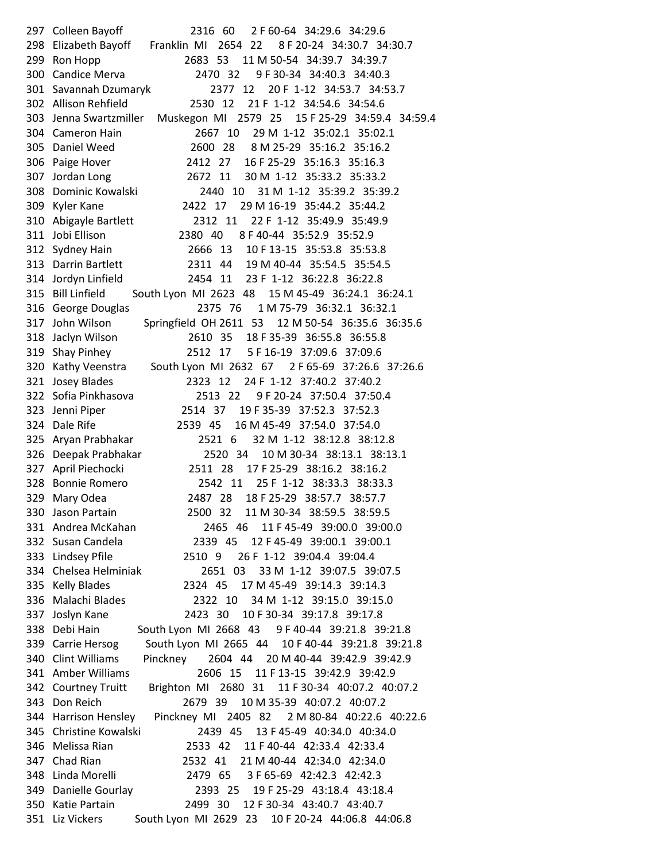297 Colleen Bayoff 2316 60 2 F 60-64 34:29.6 34:29.6 298 Elizabeth Bayoff Franklin MI 2654 22 8 F 20-24 34:30.7 34:30.7 299 Ron Hopp 2683 53 11 M 50-54 34:39.7 34:39.7 300 Candice Merva 2470 32 9 F 30-34 34:40.3 34:40.3 301 Savannah Dzumaryk 2377 12 20 F 1-12 34:53.7 34:53.7 302 Allison Rehfield 2530 12 21 F 1-12 34:54.6 34:54.6 303 Jenna Swartzmiller Muskegon MI 2579 25 15 F 25-29 34:59.4 34:59.4 304 Cameron Hain 2667 10 29 M 1-12 35:02.1 35:02.1 305 Daniel Weed 2600 28 8 M 25-29 35:16.2 35:16.2 306 Paige Hover 2412 27 16 F 25-29 35:16.3 35:16.3 307 Jordan Long 2672 11 30 M 1-12 35:33.2 35:33.2 308 Dominic Kowalski 2440 10 31 M 1-12 35:39.2 35:39.2 309 Kyler Kane 2422 17 29 M 16-19 35:44.2 35:44.2 310 Abigayle Bartlett 2312 11 22 F 1-12 35:49.9 35:49.9 311 Jobi Ellison 2380 40 8 F 40-44 35:52.9 35:52.9 312 Sydney Hain 2666 13 10 F 13-15 35:53.8 35:53.8 313 Darrin Bartlett 2311 44 19 M 40-44 35:54.5 35:54.5 314 Jordyn Linfield 2454 11 23 F 1-12 36:22.8 36:22.8 315 Bill Linfield South Lyon MI 2623 48 15 M 45-49 36:24.1 36:24.1 316 George Douglas 2375 76 1 M 75-79 36:32.1 36:32.1 317 John Wilson Springfield OH 2611 53 12 M 50-54 36:35.6 36:35.6 318 Jaclyn Wilson 2610 35 18 F 35-39 36:55.8 36:55.8 319 Shay Pinhey 2512 17 5 F 16-19 37:09.6 37:09.6 320 Kathy Veenstra South Lyon MI 2632 67 2 F 65-69 37:26.6 37:26.6 321 Josey Blades 2323 12 24 F 1-12 37:40.2 37:40.2 322 Sofia Pinkhasova 2513 22 9 F 20-24 37:50.4 37:50.4 323 Jenni Piper 2514 37 19 F 35-39 37:52.3 37:52.3 324 Dale Rife 2539 45 16 M 45-49 37:54.0 37:54.0 325 Aryan Prabhakar 2521 6 32 M 1-12 38:12.8 38:12.8 326 Deepak Prabhakar 2520 34 10 M 30-34 38:13.1 38:13.1 327 April Piechocki 2511 28 17 F 25-29 38:16.2 38:16.2 328 Bonnie Romero 2542 11 25 F 1-12 38:33.3 38:33.3 329 Mary Odea 2487 28 18 F 25-29 38:57.7 38:57.7 330 Jason Partain 2500 32 11 M 30-34 38:59.5 38:59.5 331 Andrea McKahan 2465 46 11 F 45-49 39:00.0 39:00.0 332 Susan Candela 2339 45 12 F 45-49 39:00.1 39:00.1 333 Lindsey Pfile 2510 9 26 F 1-12 39:04.4 39:04.4 334 Chelsea Helminiak 2651 03 33 M 1-12 39:07.5 39:07.5 335 Kelly Blades 2324 45 17 M 45-49 39:14.3 39:14.3 336 Malachi Blades 2322 10 34 M 1-12 39:15.0 39:15.0 337 Joslyn Kane 2423 30 10 F 30-34 39:17.8 39:17.8 338 Debi Hain South Lyon MI 2668 43 9 F 40-44 39:21.8 39:21.8 339 Carrie Hersog South Lyon MI 2665 44 10 F 40-44 39:21.8 39:21.8 340 Clint Williams Pinckney 2604 44 20 M 40-44 39:42.9 39:42.9 341 Amber Williams 2606 15 11 F 13-15 39:42.9 39:42.9 342 Courtney Truitt Brighton MI 2680 31 11 F 30-34 40:07.2 40:07.2 343 Don Reich 2679 39 10 M 35-39 40:07.2 40:07.2 344 Harrison Hensley Pinckney MI 2405 82 2 M 80-84 40:22.6 40:22.6 345 Christine Kowalski 2439 45 13 F 45-49 40:34.0 40:34.0 346 Melissa Rian 2533 42 11 F 40-44 42:33.4 42:33.4 347 Chad Rian 2532 41 21 M 40-44 42:34.0 42:34.0 348 Linda Morelli 2479 65 3 F 65-69 42:42.3 42:42.3 349 Danielle Gourlay 2393 25 19 F 25-29 43:18.4 43:18.4 350 Katie Partain 2499 30 12 F 30-34 43:40.7 43:40.7 351 Liz Vickers South Lyon MI 2629 23 10 F 20-24 44:06.8 44:06.8